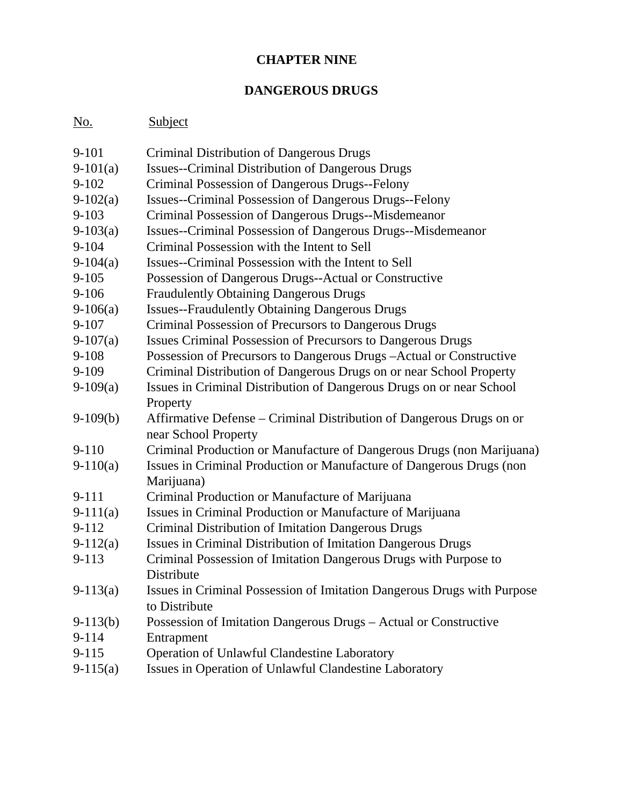## **CHAPTER NINE**

## **DANGEROUS DRUGS**

# No. Subject

| $9 - 101$  | Criminal Distribution of Dangerous Drugs                                |
|------------|-------------------------------------------------------------------------|
| $9-101(a)$ | <b>Issues--Criminal Distribution of Dangerous Drugs</b>                 |
| $9 - 102$  | Criminal Possession of Dangerous Drugs--Felony                          |
| $9-102(a)$ | <b>Issues--Criminal Possession of Dangerous Drugs--Felony</b>           |
| $9 - 103$  | Criminal Possession of Dangerous Drugs--Misdemeanor                     |
| $9-103(a)$ | Issues--Criminal Possession of Dangerous Drugs--Misdemeanor             |
| $9 - 104$  | Criminal Possession with the Intent to Sell                             |
| $9-104(a)$ | Issues--Criminal Possession with the Intent to Sell                     |
| $9 - 105$  | Possession of Dangerous Drugs--Actual or Constructive                   |
| $9 - 106$  | <b>Fraudulently Obtaining Dangerous Drugs</b>                           |
| $9-106(a)$ | <b>Issues--Fraudulently Obtaining Dangerous Drugs</b>                   |
| $9 - 107$  | Criminal Possession of Precursors to Dangerous Drugs                    |
| $9-107(a)$ | Issues Criminal Possession of Precursors to Dangerous Drugs             |
| $9 - 108$  | Possession of Precursors to Dangerous Drugs - Actual or Constructive    |
| $9 - 109$  | Criminal Distribution of Dangerous Drugs on or near School Property     |
| $9-109(a)$ | Issues in Criminal Distribution of Dangerous Drugs on or near School    |
|            | Property                                                                |
| $9-109(b)$ | Affirmative Defense – Criminal Distribution of Dangerous Drugs on or    |
|            | near School Property                                                    |
| $9 - 110$  | Criminal Production or Manufacture of Dangerous Drugs (non Marijuana)   |
| $9-110(a)$ | Issues in Criminal Production or Manufacture of Dangerous Drugs (non    |
|            | Marijuana)                                                              |
| 9-111      | Criminal Production or Manufacture of Marijuana                         |
| $9-111(a)$ | Issues in Criminal Production or Manufacture of Marijuana               |
| $9 - 112$  | Criminal Distribution of Imitation Dangerous Drugs                      |
| $9-112(a)$ | Issues in Criminal Distribution of Imitation Dangerous Drugs            |
| 9-113      | Criminal Possession of Imitation Dangerous Drugs with Purpose to        |
|            | Distribute                                                              |
| $9-113(a)$ | Issues in Criminal Possession of Imitation Dangerous Drugs with Purpose |
|            | to Distribute                                                           |
| $9-113(b)$ | Possession of Imitation Dangerous Drugs - Actual or Constructive        |
| 9-114      | Entrapment                                                              |
| $9 - 115$  | <b>Operation of Unlawful Clandestine Laboratory</b>                     |
| $9-115(a)$ | Issues in Operation of Unlawful Clandestine Laboratory                  |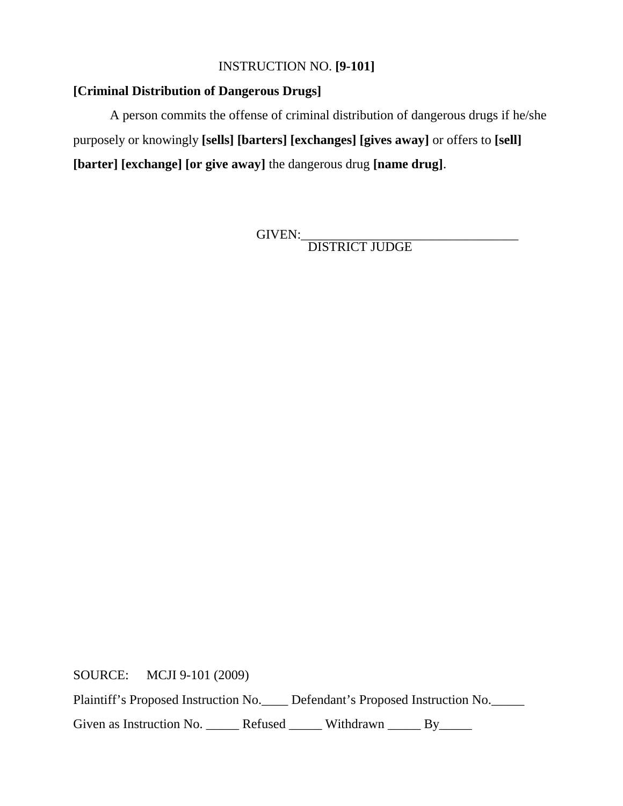## INSTRUCTION NO. **[9-101]**

## **[Criminal Distribution of Dangerous Drugs]**

A person commits the offense of criminal distribution of dangerous drugs if he/she purposely or knowingly **[sells] [barters] [exchanges] [gives away]** or offers to **[sell] [barter] [exchange] [or give away]** the dangerous drug **[name drug]**.

GIVEN: DISTRICT JUDGE

SOURCE: MCJI 9-101 (2009)

Plaintiff's Proposed Instruction No. Defendant's Proposed Instruction No.

Given as Instruction No. \_\_\_\_\_\_ Refused \_\_\_\_\_\_ Withdrawn \_\_\_\_\_ By\_\_\_\_\_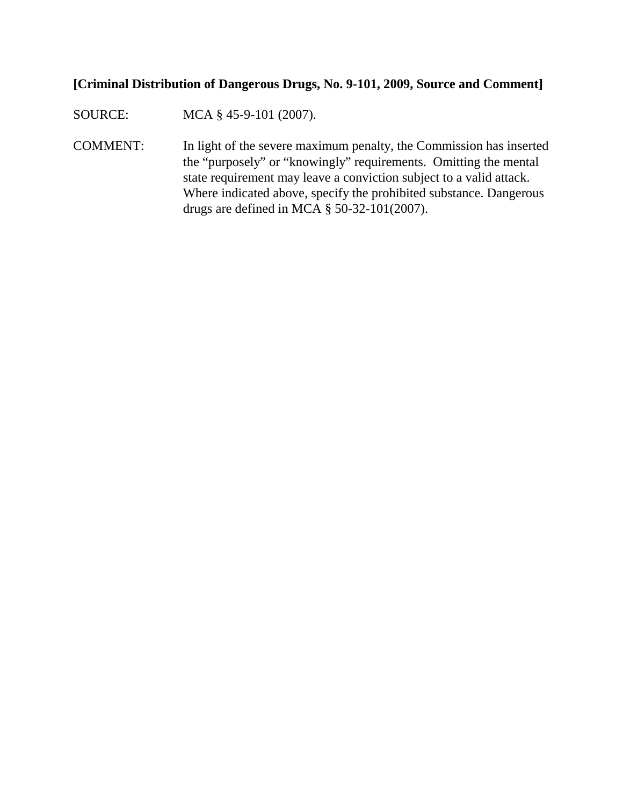### **[Criminal Distribution of Dangerous Drugs, No. 9-101, 2009, Source and Comment]**

SOURCE: MCA § 45-9-101 (2007).

COMMENT: In light of the severe maximum penalty, the Commission has inserted the "purposely" or "knowingly" requirements. Omitting the mental state requirement may leave a conviction subject to a valid attack. Where indicated above, specify the prohibited substance. Dangerous drugs are defined in MCA § 50-32-101(2007).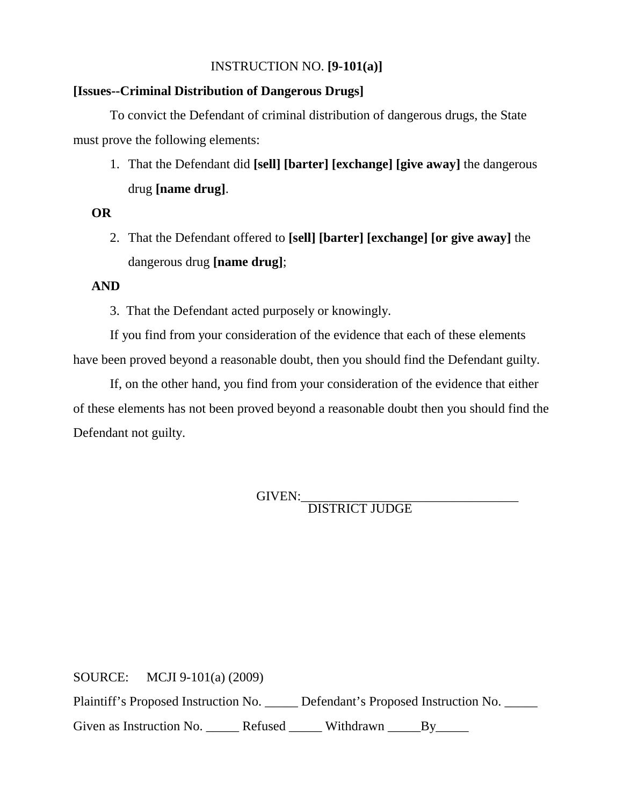## INSTRUCTION NO. **[9-101(a)]**

#### **[Issues--Criminal Distribution of Dangerous Drugs]**

To convict the Defendant of criminal distribution of dangerous drugs, the State must prove the following elements:

1. That the Defendant did **[sell] [barter] [exchange] [give away]** the dangerous drug **[name drug]**.

#### **OR**

2. That the Defendant offered to **[sell] [barter] [exchange] [or give away]** the dangerous drug **[name drug]**;

#### **AND**

3. That the Defendant acted purposely or knowingly.

If you find from your consideration of the evidence that each of these elements have been proved beyond a reasonable doubt, then you should find the Defendant guilty.

If, on the other hand, you find from your consideration of the evidence that either of these elements has not been proved beyond a reasonable doubt then you should find the Defendant not guilty.

GIVEN: DISTRICT JUDGE

SOURCE: MCJI 9-101(a) (2009) Plaintiff's Proposed Instruction No. \_\_\_\_\_ Defendant's Proposed Instruction No. \_\_\_\_\_ Given as Instruction No. \_\_\_\_\_\_ Refused \_\_\_\_\_\_ Withdrawn \_\_\_\_\_\_By\_\_\_\_\_\_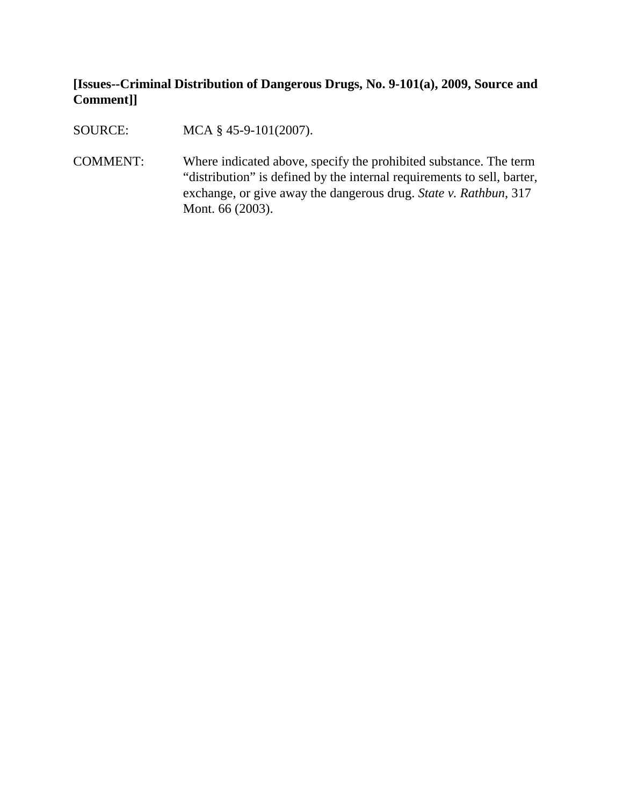## **[Issues--Criminal Distribution of Dangerous Drugs, No. 9-101(a), 2009, Source and Comment]]**

SOURCE: MCA § 45-9-101(2007).

COMMENT: Where indicated above, specify the prohibited substance. The term "distribution" is defined by the internal requirements to sell, barter, exchange, or give away the dangerous drug. *State v. Rathbun*, 317 Mont. 66 (2003).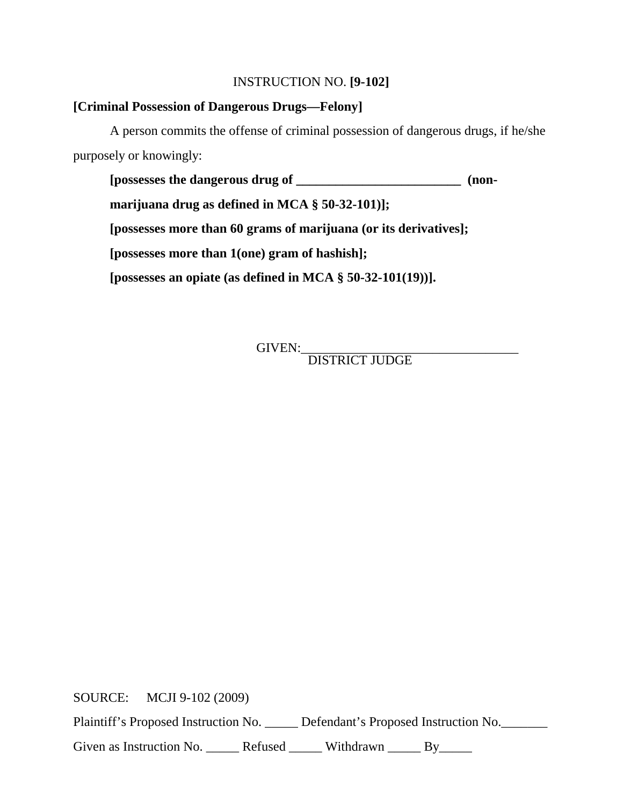#### INSTRUCTION NO. **[9-102]**

#### **[Criminal Possession of Dangerous Drugs—Felony]**

A person commits the offense of criminal possession of dangerous drugs, if he/she purposely or knowingly:

**[possesses the dangerous drug of \_\_\_\_\_\_\_\_\_\_\_\_\_\_\_\_\_\_\_\_\_\_\_\_\_ (non-**

**marijuana drug as defined in MCA § 50-32-101)];**

**[possesses more than 60 grams of marijuana (or its derivatives];**

**[possesses more than 1(one) gram of hashish];**

**[possesses an opiate (as defined in MCA § 50-32-101(19))].**

GIVEN:\_\_\_\_\_\_\_\_\_\_\_\_\_\_\_\_\_\_\_\_\_\_\_\_\_\_\_\_\_\_\_\_\_ DISTRICT JUDGE

SOURCE: MCJI 9-102 (2009)

Plaintiff's Proposed Instruction No. \_\_\_\_\_ Defendant's Proposed Instruction No. \_\_\_\_\_\_

Given as Instruction No. \_\_\_\_\_\_ Refused \_\_\_\_\_\_ Withdrawn \_\_\_\_\_ By\_\_\_\_\_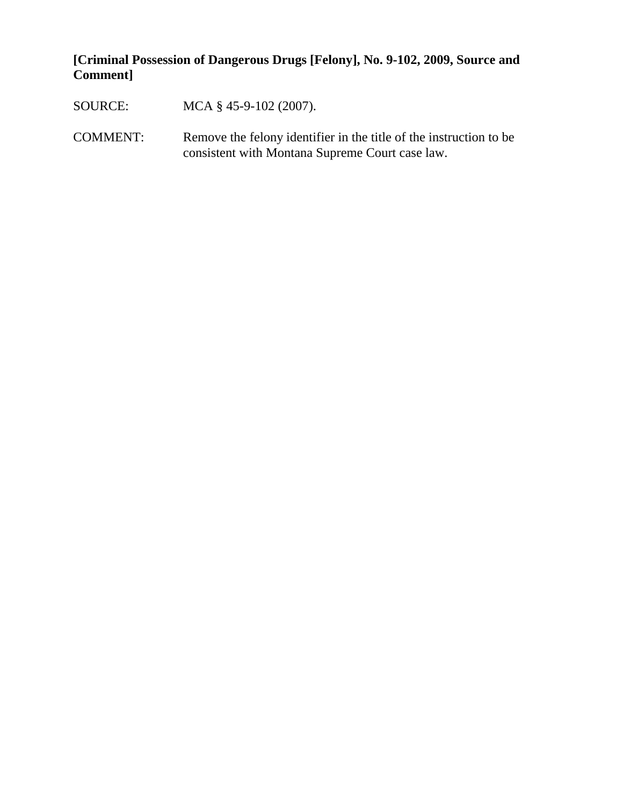## **[Criminal Possession of Dangerous Drugs [Felony], No. 9-102, 2009, Source and Comment]**

- SOURCE: MCA § 45-9-102 (2007).
- COMMENT: Remove the felony identifier in the title of the instruction to be consistent with Montana Supreme Court case law.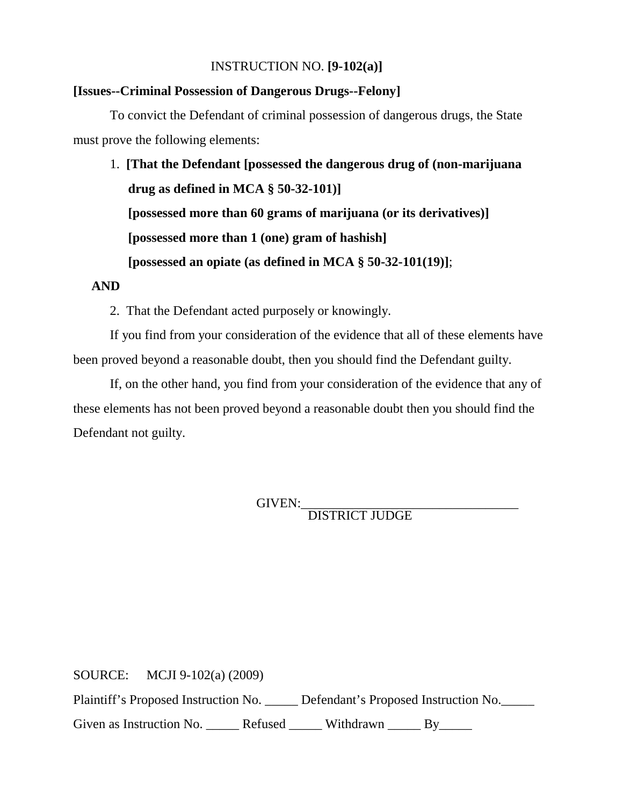#### INSTRUCTION NO. **[9-102(a)]**

#### **[Issues--Criminal Possession of Dangerous Drugs--Felony]**

To convict the Defendant of criminal possession of dangerous drugs, the State must prove the following elements:

1. **[That the Defendant [possessed the dangerous drug of (non-marijuana drug as defined in MCA § 50-32-101)] [possessed more than 60 grams of marijuana (or its derivatives)] [possessed more than 1 (one) gram of hashish] [possessed an opiate (as defined in MCA § 50-32-101(19)]**;

**AND**

2. That the Defendant acted purposely or knowingly.

If you find from your consideration of the evidence that all of these elements have been proved beyond a reasonable doubt, then you should find the Defendant guilty.

If, on the other hand, you find from your consideration of the evidence that any of these elements has not been proved beyond a reasonable doubt then you should find the Defendant not guilty.

GIVEN:<br>DISTRICT JUDGE

SOURCE: MCJI 9-102(a) (2009) Plaintiff's Proposed Instruction No. \_\_\_\_\_ Defendant's Proposed Instruction No.\_\_\_\_\_ Given as Instruction No. \_\_\_\_\_\_ Refused \_\_\_\_\_\_ Withdrawn \_\_\_\_\_ By\_\_\_\_\_\_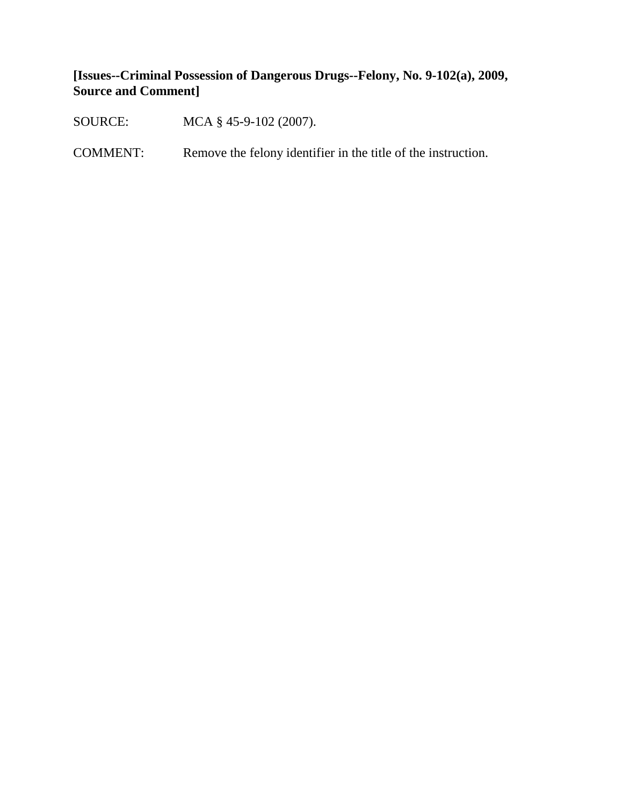## **[Issues--Criminal Possession of Dangerous Drugs--Felony, No. 9-102(a), 2009, Source and Comment]**

SOURCE: MCA § 45-9-102 (2007).

COMMENT: Remove the felony identifier in the title of the instruction.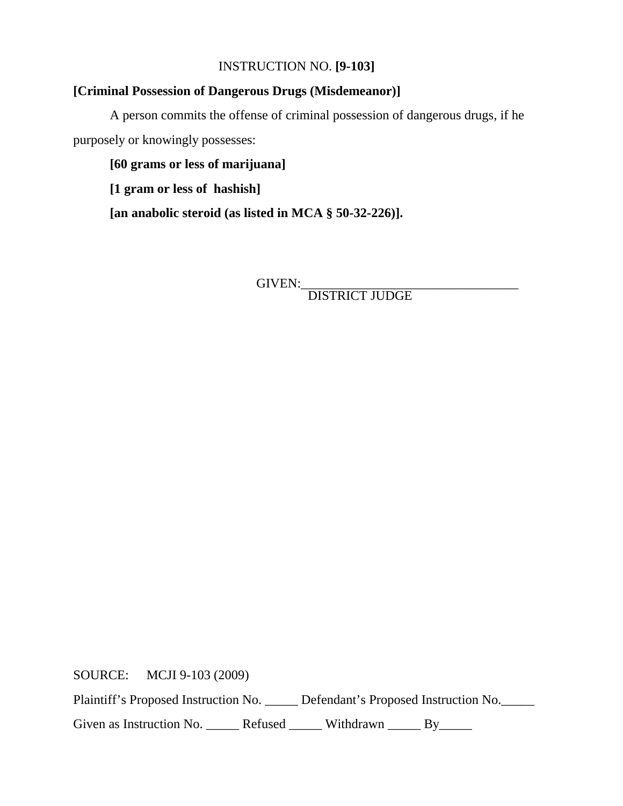## INSTRUCTION NO. **[9-103]**

## **[Criminal Possession of Dangerous Drugs (Misdemeanor)]**

A person commits the offense of criminal possession of dangerous drugs, if he purposely or knowingly possesses:

**[60 grams or less of marijuana]** 

**[1 gram or less of hashish]**

**[an anabolic steroid (as listed in MCA § 50-32-226)].**

GIVEN:\_\_\_\_\_\_\_\_\_\_\_\_\_\_\_\_\_\_\_\_\_\_\_\_\_\_\_\_\_\_\_\_\_ DISTRICT JUDGE

SOURCE: MCJI 9-103 (2009)

Plaintiff's Proposed Instruction No. \_\_\_\_\_ Defendant's Proposed Instruction No.\_\_\_\_\_

Given as Instruction No. \_\_\_\_\_\_ Refused \_\_\_\_\_\_ Withdrawn \_\_\_\_\_ By\_\_\_\_\_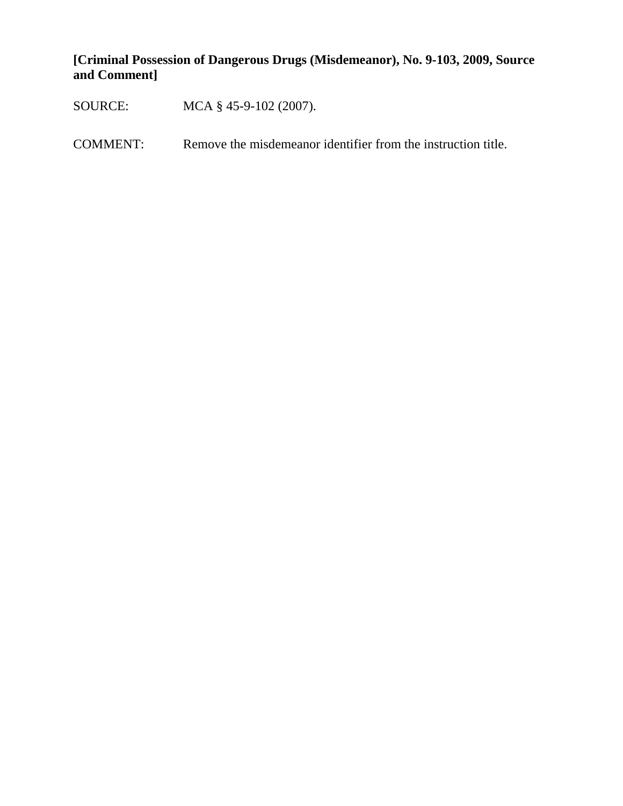## **[Criminal Possession of Dangerous Drugs (Misdemeanor), No. 9-103, 2009, Source and Comment]**

SOURCE: MCA § 45-9-102 (2007).

COMMENT: Remove the misdemeanor identifier from the instruction title.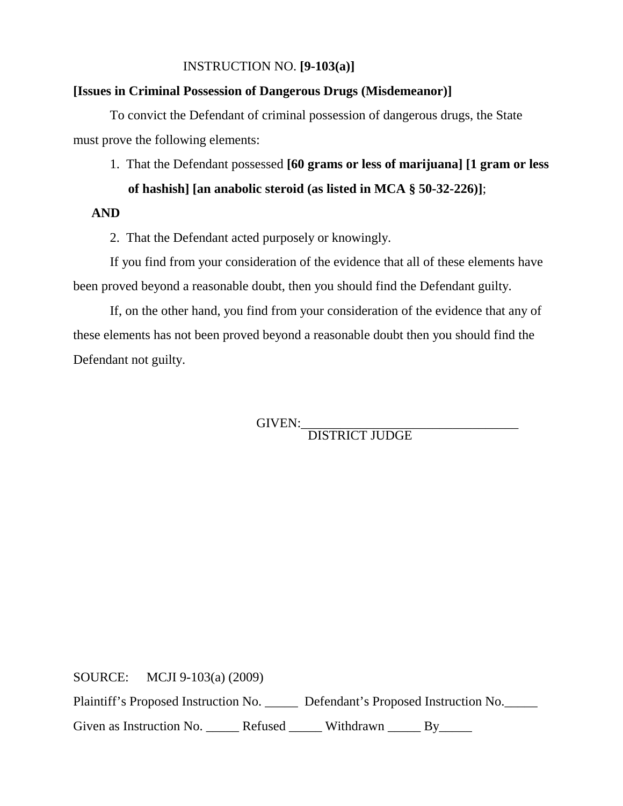#### INSTRUCTION NO. **[9-103(a)]**

#### **[Issues in Criminal Possession of Dangerous Drugs (Misdemeanor)]**

To convict the Defendant of criminal possession of dangerous drugs, the State must prove the following elements:

1. That the Defendant possessed **[60 grams or less of marijuana] [1 gram or less of hashish] [an anabolic steroid (as listed in MCA § 50-32-226)]**;

#### **AND**

2. That the Defendant acted purposely or knowingly.

If you find from your consideration of the evidence that all of these elements have been proved beyond a reasonable doubt, then you should find the Defendant guilty.

If, on the other hand, you find from your consideration of the evidence that any of these elements has not been proved beyond a reasonable doubt then you should find the Defendant not guilty.

GIVEN:\_\_\_\_\_\_\_\_\_\_\_\_\_\_\_\_\_\_\_\_\_\_\_\_\_\_\_\_\_\_\_\_\_ DISTRICT JUDGE

SOURCE: MCJI 9-103(a) (2009)

Plaintiff's Proposed Instruction No. \_\_\_\_\_\_ Defendant's Proposed Instruction No.

Given as Instruction No. \_\_\_\_\_\_ Refused \_\_\_\_\_\_ Withdrawn \_\_\_\_\_ By\_\_\_\_\_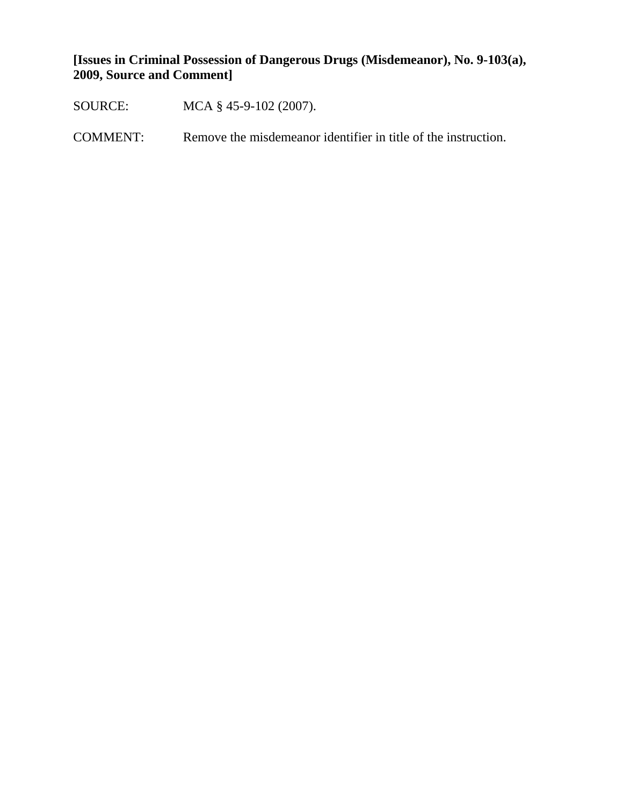**[Issues in Criminal Possession of Dangerous Drugs (Misdemeanor), No. 9-103(a), 2009, Source and Comment]**

- SOURCE: MCA § 45-9-102 (2007).
- COMMENT: Remove the misdemeanor identifier in title of the instruction.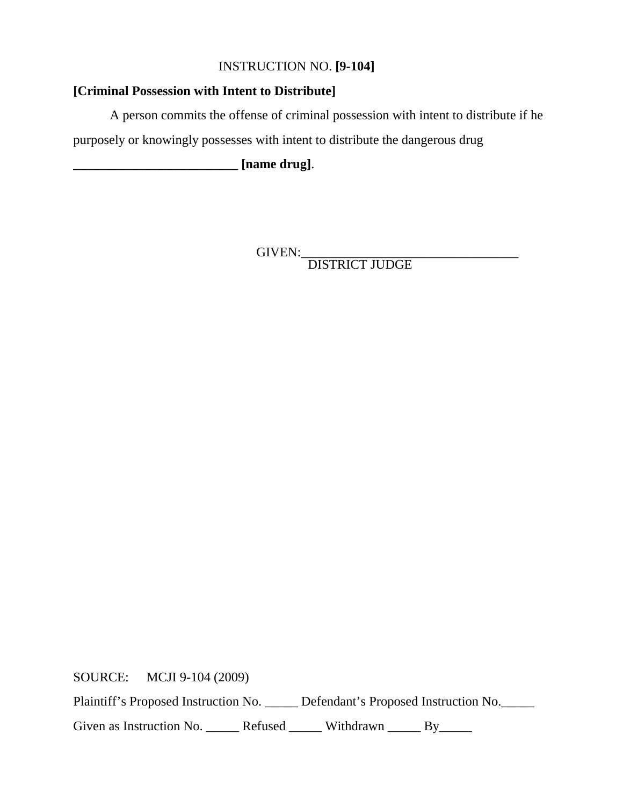## INSTRUCTION NO. **[9-104]**

## **[Criminal Possession with Intent to Distribute]**

A person commits the offense of criminal possession with intent to distribute if he

purposely or knowingly possesses with intent to distribute the dangerous drug

**\_\_\_\_\_\_\_\_\_\_\_\_\_\_\_\_\_\_\_\_\_\_\_\_\_ [name drug]**.

GIVEN:\_\_\_\_\_\_\_\_\_\_\_\_\_\_\_\_\_\_\_\_\_\_\_\_\_\_\_\_\_\_\_\_\_ DISTRICT JUDGE

SOURCE: MCJI 9-104 (2009)

Plaintiff's Proposed Instruction No. \_\_\_\_\_ Defendant's Proposed Instruction No.\_\_\_\_\_

Given as Instruction No. \_\_\_\_\_\_ Refused \_\_\_\_\_\_ Withdrawn \_\_\_\_\_ By\_\_\_\_\_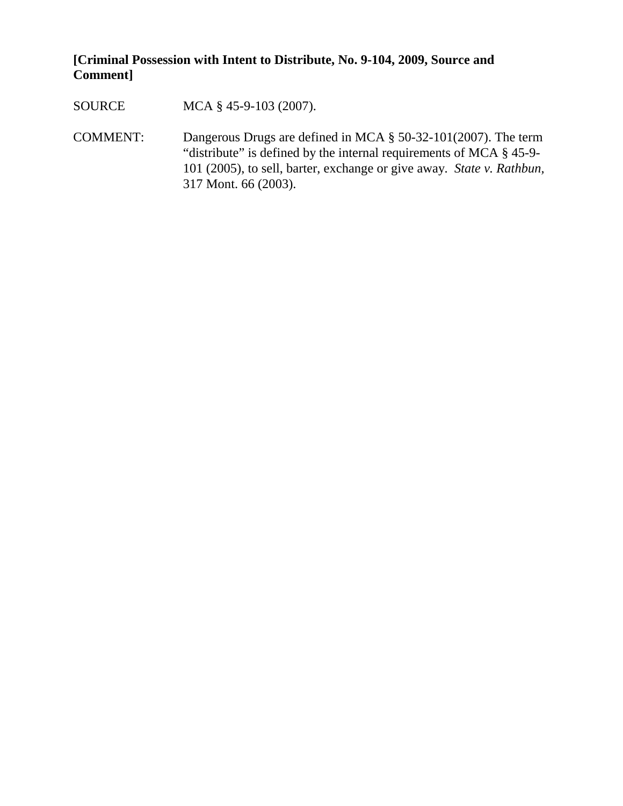## **[Criminal Possession with Intent to Distribute, No. 9-104, 2009, Source and Comment]**

SOURCE MCA § 45-9-103 (2007).

COMMENT: Dangerous Drugs are defined in MCA § 50-32-101(2007). The term "distribute" is defined by the internal requirements of MCA § 45-9- 101 (2005), to sell, barter, exchange or give away. *State v. Rathbun,*  317 Mont. 66 (2003).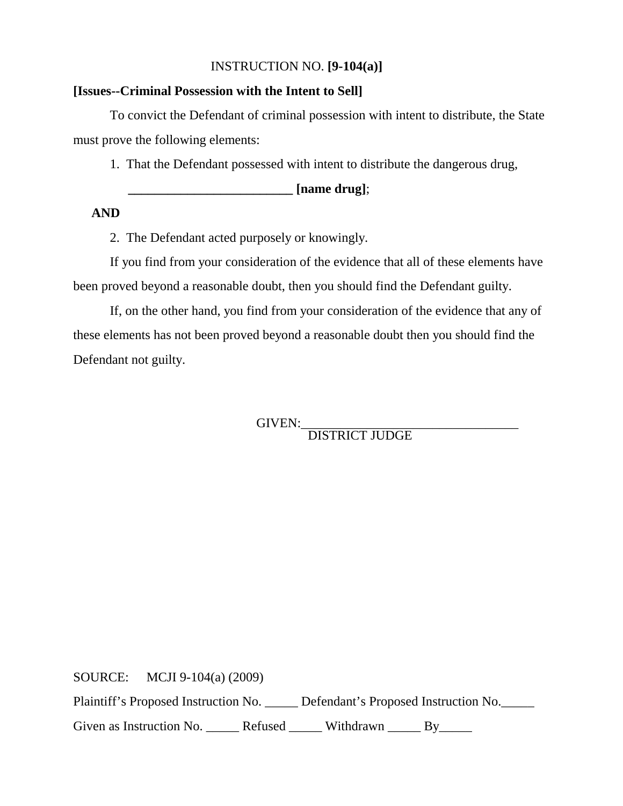### INSTRUCTION NO. **[9-104(a)]**

#### **[Issues--Criminal Possession with the Intent to Sell]**

To convict the Defendant of criminal possession with intent to distribute, the State must prove the following elements:

1. That the Defendant possessed with intent to distribute the dangerous drug,

**\_\_\_\_\_\_\_\_\_\_\_\_\_\_\_\_\_\_\_\_\_\_\_\_\_ [name drug]**;

#### **AND**

2. The Defendant acted purposely or knowingly.

If you find from your consideration of the evidence that all of these elements have been proved beyond a reasonable doubt, then you should find the Defendant guilty.

If, on the other hand, you find from your consideration of the evidence that any of these elements has not been proved beyond a reasonable doubt then you should find the Defendant not guilty.

GIVEN:\_\_\_\_\_\_\_\_\_\_\_\_\_\_\_\_\_\_\_\_\_\_\_\_\_\_\_\_\_\_\_\_\_ DISTRICT JUDGE

SOURCE: MCJI 9-104(a) (2009)

Plaintiff's Proposed Instruction No. \_\_\_\_\_ Defendant's Proposed Instruction No.\_\_\_\_\_

Given as Instruction No. \_\_\_\_\_\_ Refused \_\_\_\_\_\_ Withdrawn \_\_\_\_\_ By\_\_\_\_\_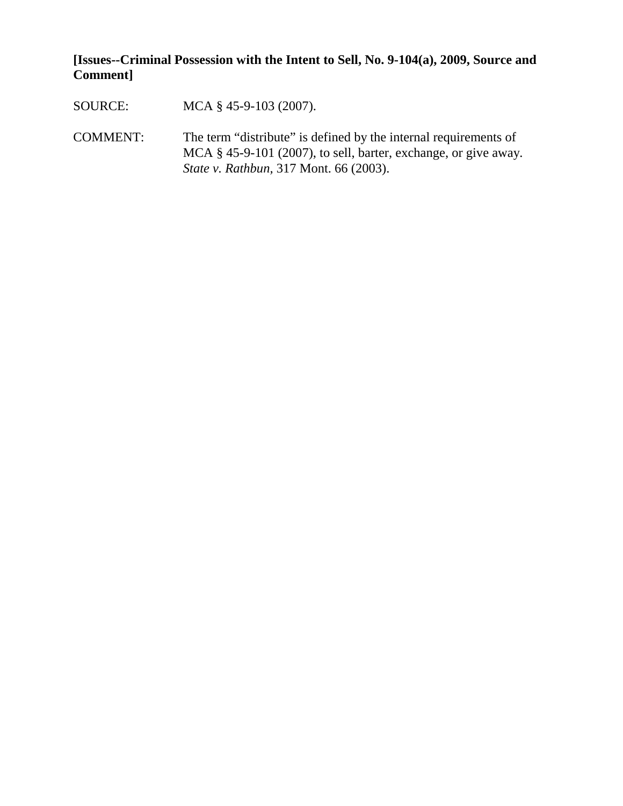**[Issues--Criminal Possession with the Intent to Sell, No. 9-104(a), 2009, Source and Comment]**

SOURCE: MCA § 45-9-103 (2007).

COMMENT: The term "distribute" is defined by the internal requirements of MCA § 45-9-101 (2007), to sell, barter, exchange, or give away. *State v. Rathbun,* 317 Mont. 66 (2003).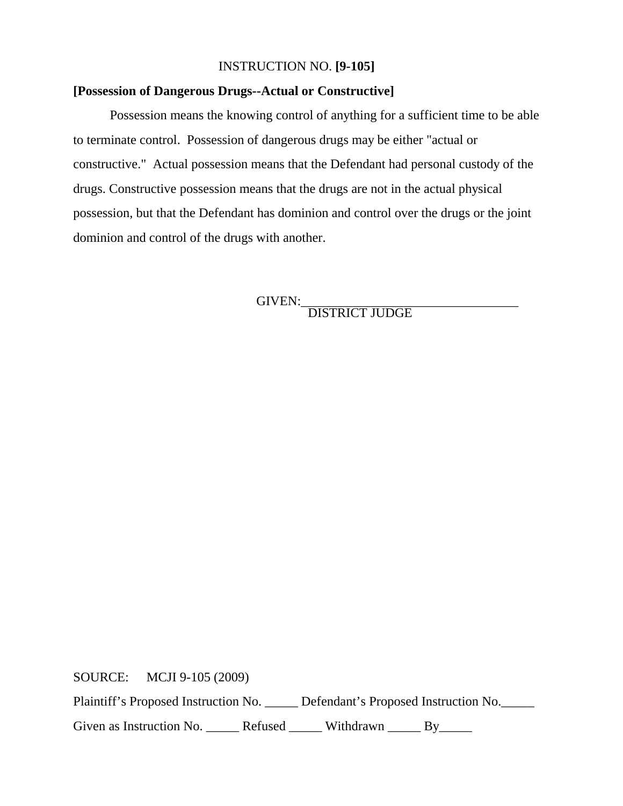#### INSTRUCTION NO. **[9-105]**

#### **[Possession of Dangerous Drugs--Actual or Constructive]**

Possession means the knowing control of anything for a sufficient time to be able to terminate control. Possession of dangerous drugs may be either "actual or constructive." Actual possession means that the Defendant had personal custody of the drugs. Constructive possession means that the drugs are not in the actual physical possession, but that the Defendant has dominion and control over the drugs or the joint dominion and control of the drugs with another.

GIVEN: DISTRICT JUDGE

SOURCE: MCJI 9-105 (2009)

Plaintiff's Proposed Instruction No. \_\_\_\_\_ Defendant's Proposed Instruction No.\_\_\_\_\_

Given as Instruction No. \_\_\_\_\_\_ Refused \_\_\_\_\_\_ Withdrawn \_\_\_\_\_ By\_\_\_\_\_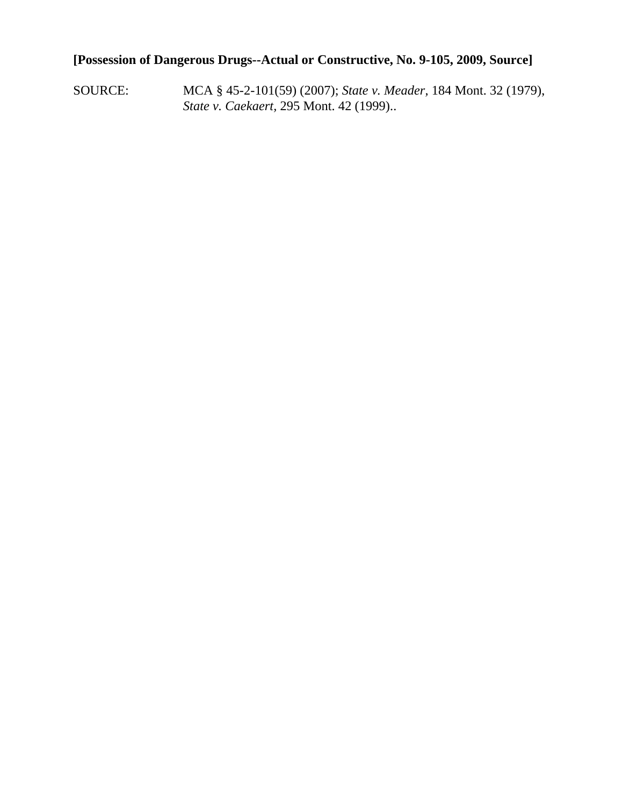## **[Possession of Dangerous Drugs--Actual or Constructive, No. 9-105, 2009, Source]**

SOURCE: MCA § 45-2-101(59) (2007); *State v. Meader,* 184 Mont. 32 (1979), *State v. Caekaert,* 295 Mont. 42 (1999)..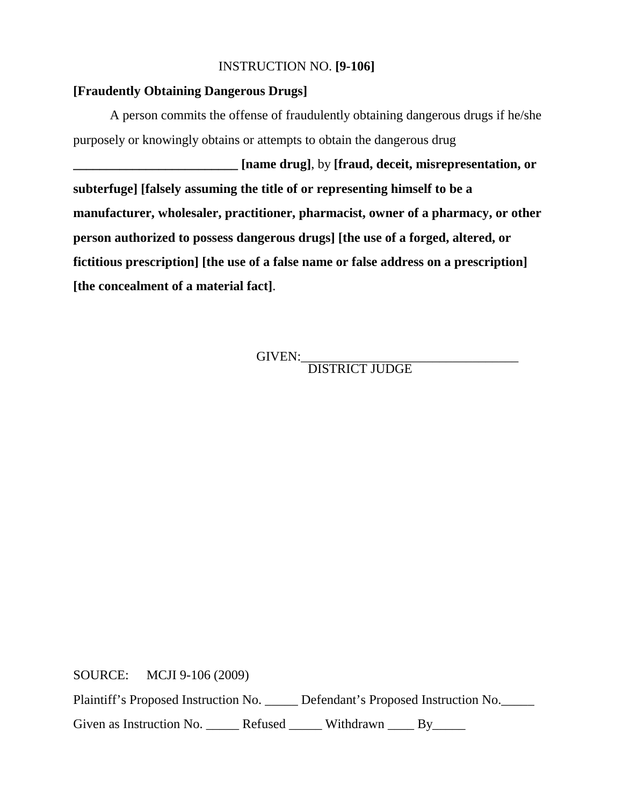#### INSTRUCTION NO. **[9-106]**

#### **[Fraudently Obtaining Dangerous Drugs]**

A person commits the offense of fraudulently obtaining dangerous drugs if he/she purposely or knowingly obtains or attempts to obtain the dangerous drug

**\_\_\_\_\_\_\_\_\_\_\_\_\_\_\_\_\_\_\_\_\_\_\_\_\_ [name drug]**, by **[fraud, deceit, misrepresentation, or subterfuge] [falsely assuming the title of or representing himself to be a manufacturer, wholesaler, practitioner, pharmacist, owner of a pharmacy, or other person authorized to possess dangerous drugs] [the use of a forged, altered, or fictitious prescription] [the use of a false name or false address on a prescription] [the concealment of a material fact]**.

GIVEN:\_\_\_\_\_\_\_\_\_\_\_\_\_\_\_\_\_\_\_\_\_\_\_\_\_\_\_\_\_\_\_\_\_ DISTRICT JUDGE

SOURCE: MCJI 9-106 (2009)

Plaintiff's Proposed Instruction No. \_\_\_\_\_ Defendant's Proposed Instruction No.

Given as Instruction No. \_\_\_\_\_\_ Refused \_\_\_\_\_\_ Withdrawn \_\_\_\_ By\_\_\_\_\_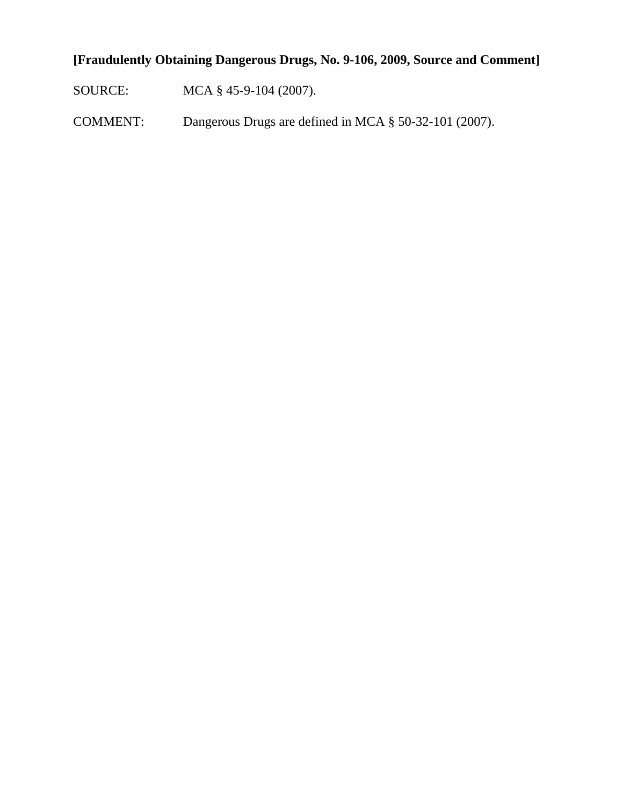# **[Fraudulently Obtaining Dangerous Drugs, No. 9-106, 2009, Source and Comment]**

SOURCE: MCA § 45-9-104 (2007).

COMMENT: Dangerous Drugs are defined in MCA § 50-32-101 (2007).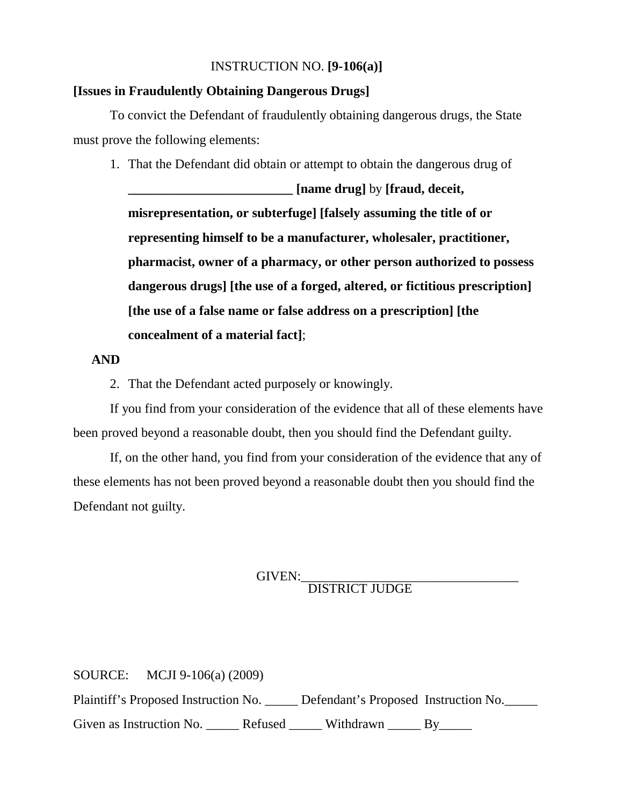#### INSTRUCTION NO. **[9-106(a)]**

#### **[Issues in Fraudulently Obtaining Dangerous Drugs]**

To convict the Defendant of fraudulently obtaining dangerous drugs, the State must prove the following elements:

1. That the Defendant did obtain or attempt to obtain the dangerous drug of

**\_\_\_\_\_\_\_\_\_\_\_\_\_\_\_\_\_\_\_\_\_\_\_\_\_ [name drug]** by **[fraud, deceit, misrepresentation, or subterfuge] [falsely assuming the title of or representing himself to be a manufacturer, wholesaler, practitioner, pharmacist, owner of a pharmacy, or other person authorized to possess dangerous drugs] [the use of a forged, altered, or fictitious prescription] [the use of a false name or false address on a prescription] [the concealment of a material fact]**;

#### **AND**

2. That the Defendant acted purposely or knowingly.

If you find from your consideration of the evidence that all of these elements have been proved beyond a reasonable doubt, then you should find the Defendant guilty.

If, on the other hand, you find from your consideration of the evidence that any of these elements has not been proved beyond a reasonable doubt then you should find the Defendant not guilty.

GIVEN:<br>DISTRICT JUDGE

SOURCE: MCJI 9-106(a) (2009) Plaintiff's Proposed Instruction No. \_\_\_\_\_ Defendant's Proposed Instruction No. Given as Instruction No. \_\_\_\_\_\_ Refused \_\_\_\_\_\_ Withdrawn \_\_\_\_\_ By\_\_\_\_\_\_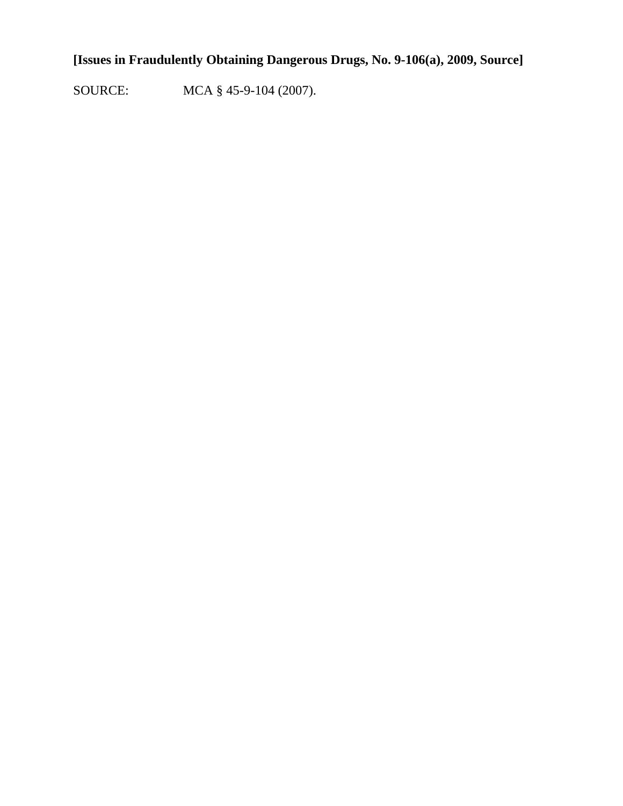# **[Issues in Fraudulently Obtaining Dangerous Drugs, No. 9-106(a), 2009, Source]**

SOURCE: MCA § 45-9-104 (2007).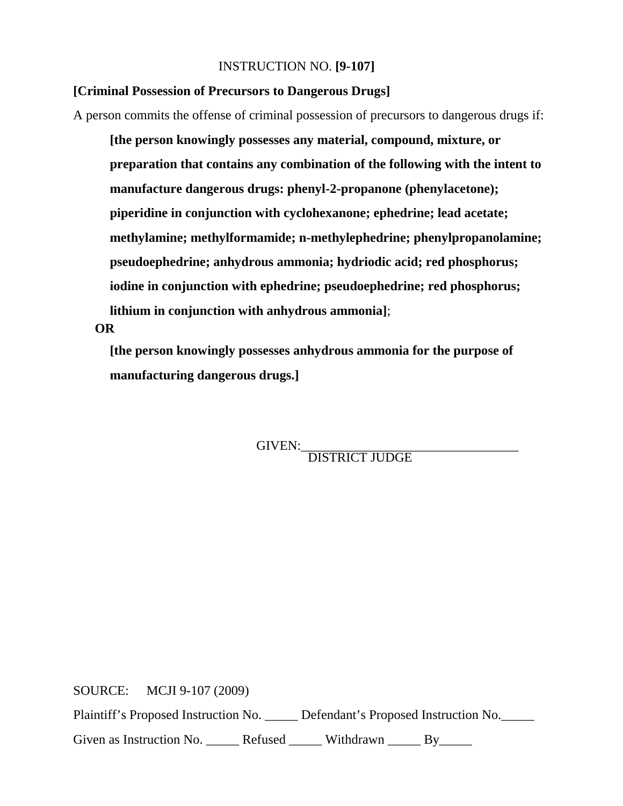#### INSTRUCTION NO. **[9-107]**

#### **[Criminal Possession of Precursors to Dangerous Drugs]**

A person commits the offense of criminal possession of precursors to dangerous drugs if:

**[the person knowingly possesses any material, compound, mixture, or preparation that contains any combination of the following with the intent to manufacture dangerous drugs: phenyl-2-propanone (phenylacetone); piperidine in conjunction with cyclohexanone; ephedrine; lead acetate; methylamine; methylformamide; n-methylephedrine; phenylpropanolamine; pseudoephedrine; anhydrous ammonia; hydriodic acid; red phosphorus; iodine in conjunction with ephedrine; pseudoephedrine; red phosphorus; lithium in conjunction with anhydrous ammonia]**;

#### **OR**

**[the person knowingly possesses anhydrous ammonia for the purpose of manufacturing dangerous drugs.]**

GIVEN:\_\_\_\_\_\_\_\_\_\_\_\_\_\_\_\_\_\_\_\_\_\_\_\_\_\_\_\_\_\_\_\_\_ DISTRICT JUDGE

SOURCE: MCJI 9-107 (2009) Plaintiff's Proposed Instruction No. \_\_\_\_\_ Defendant's Proposed Instruction No.\_\_\_\_\_ Given as Instruction No. \_\_\_\_\_\_ Refused \_\_\_\_\_\_ Withdrawn \_\_\_\_\_ By\_\_\_\_\_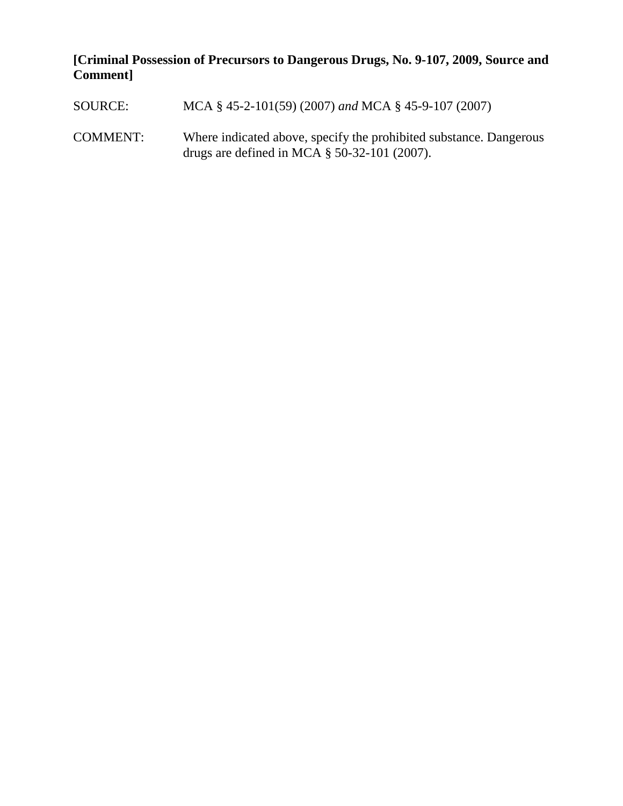# **[Criminal Possession of Precursors to Dangerous Drugs, No. 9-107, 2009, Source and Comment]**

| SOURCE:         | MCA § 45-2-101(59) (2007) and MCA § 45-9-107 (2007)                                                                   |
|-----------------|-----------------------------------------------------------------------------------------------------------------------|
| <b>COMMENT:</b> | Where indicated above, specify the prohibited substance. Dangerous<br>drugs are defined in MCA $\S$ 50-32-101 (2007). |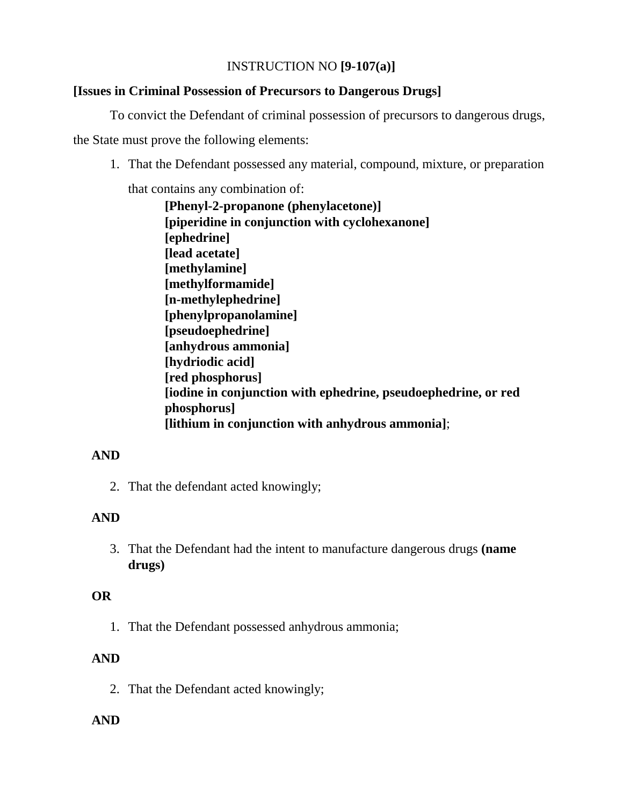## INSTRUCTION NO **[9-107(a)]**

## **[Issues in Criminal Possession of Precursors to Dangerous Drugs]**

To convict the Defendant of criminal possession of precursors to dangerous drugs,

the State must prove the following elements:

1. That the Defendant possessed any material, compound, mixture, or preparation

that contains any combination of:

 **[Phenyl-2-propanone (phenylacetone)] [piperidine in conjunction with cyclohexanone] [ephedrine] [lead acetate] [methylamine] [methylformamide] [n-methylephedrine] [phenylpropanolamine] [pseudoephedrine] [anhydrous ammonia] [hydriodic acid] [red phosphorus] [iodine in conjunction with ephedrine, pseudoephedrine, or red phosphorus] [lithium in conjunction with anhydrous ammonia]**;

## **AND**

2. That the defendant acted knowingly;

## **AND**

3. That the Defendant had the intent to manufacture dangerous drugs **(name drugs)**

## **OR**

1. That the Defendant possessed anhydrous ammonia;

## **AND**

2. That the Defendant acted knowingly;

## **AND**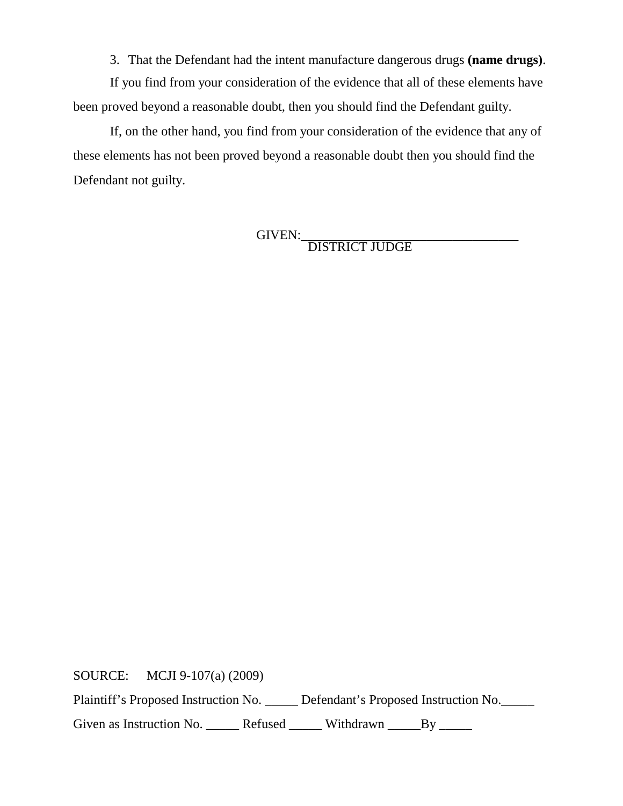3. That the Defendant had the intent manufacture dangerous drugs **(name drugs)**.

If you find from your consideration of the evidence that all of these elements have been proved beyond a reasonable doubt, then you should find the Defendant guilty.

If, on the other hand, you find from your consideration of the evidence that any of these elements has not been proved beyond a reasonable doubt then you should find the Defendant not guilty.

GIVEN:\_\_\_\_\_\_\_\_\_\_\_\_\_\_\_\_\_\_\_\_\_\_\_\_\_\_\_\_\_\_\_\_\_ DISTRICT JUDGE

SOURCE: MCJI 9-107(a) (2009) Plaintiff's Proposed Instruction No. \_\_\_\_\_ Defendant's Proposed Instruction No.\_\_\_\_\_

Given as Instruction No. \_\_\_\_\_\_ Refused \_\_\_\_\_\_ Withdrawn \_\_\_\_\_By \_\_\_\_\_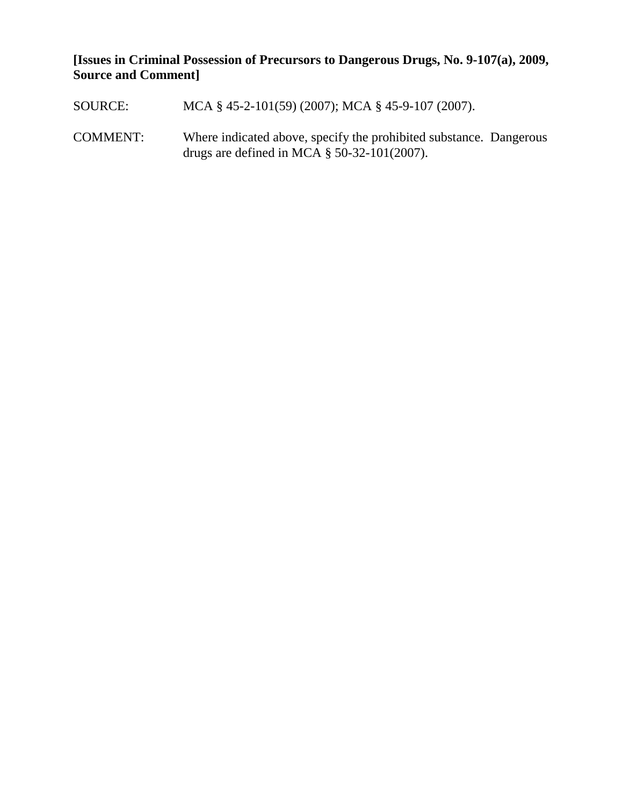**[Issues in Criminal Possession of Precursors to Dangerous Drugs, No. 9-107(a), 2009, Source and Comment]**

SOURCE: MCA § 45-2-101(59) (2007); MCA § 45-9-107 (2007). COMMENT: Where indicated above, specify the prohibited substance. Dangerous drugs are defined in MCA § 50-32-101(2007).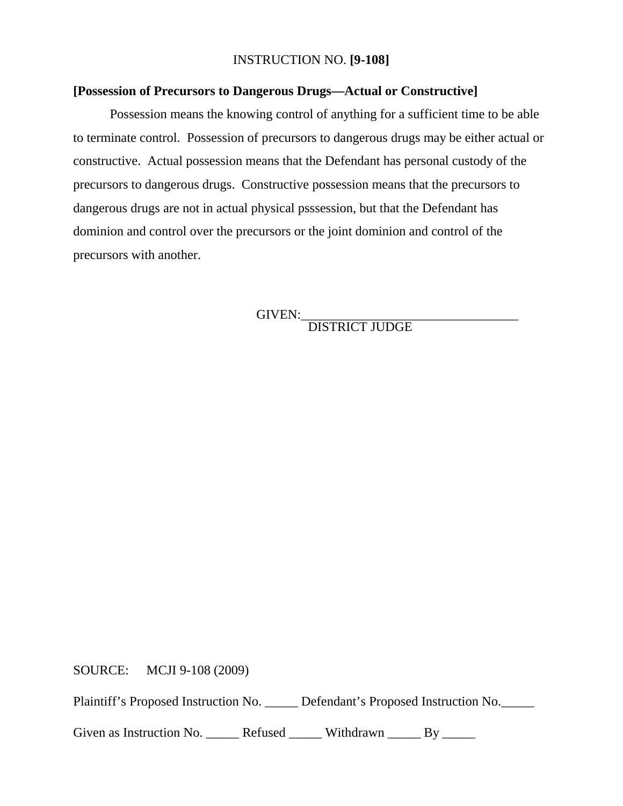#### INSTRUCTION NO. **[9-108]**

#### **[Possession of Precursors to Dangerous Drugs—Actual or Constructive]**

Possession means the knowing control of anything for a sufficient time to be able to terminate control. Possession of precursors to dangerous drugs may be either actual or constructive. Actual possession means that the Defendant has personal custody of the precursors to dangerous drugs. Constructive possession means that the precursors to dangerous drugs are not in actual physical psssession, but that the Defendant has dominion and control over the precursors or the joint dominion and control of the precursors with another.

GIVEN:\_\_\_\_\_\_\_\_\_\_\_\_\_\_\_\_\_\_\_\_\_\_\_\_\_\_\_\_\_\_\_\_\_ DISTRICT JUDGE

SOURCE: MCJI 9-108 (2009)

Plaintiff's Proposed Instruction No. \_\_\_\_\_ Defendant's Proposed Instruction No.

Given as Instruction No. \_\_\_\_\_\_ Refused \_\_\_\_\_\_ Withdrawn \_\_\_\_\_ By \_\_\_\_\_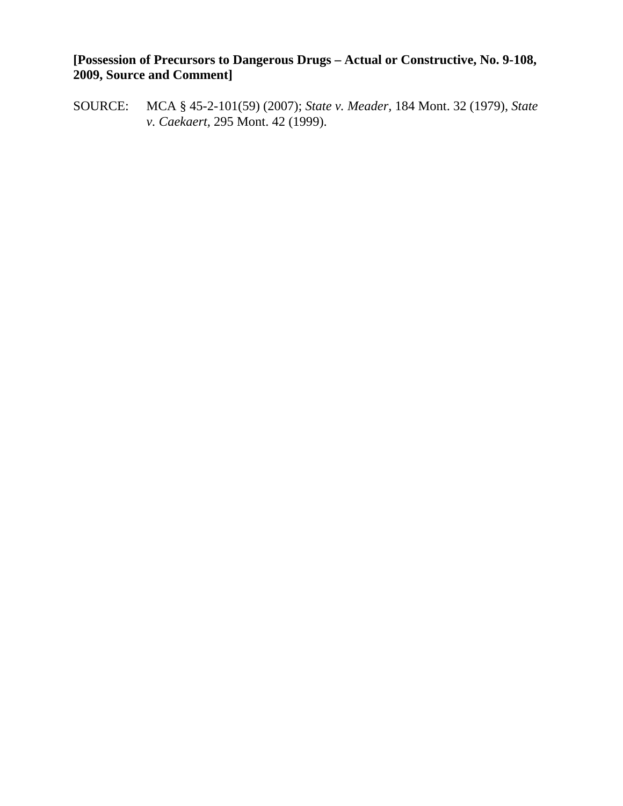## **[Possession of Precursors to Dangerous Drugs – Actual or Constructive, No. 9-108, 2009, Source and Comment]**

SOURCE: MCA § 45-2-101(59) (2007); *State v. Meader,* 184 Mont. 32 (1979), *State v. Caekaert,* 295 Mont. 42 (1999).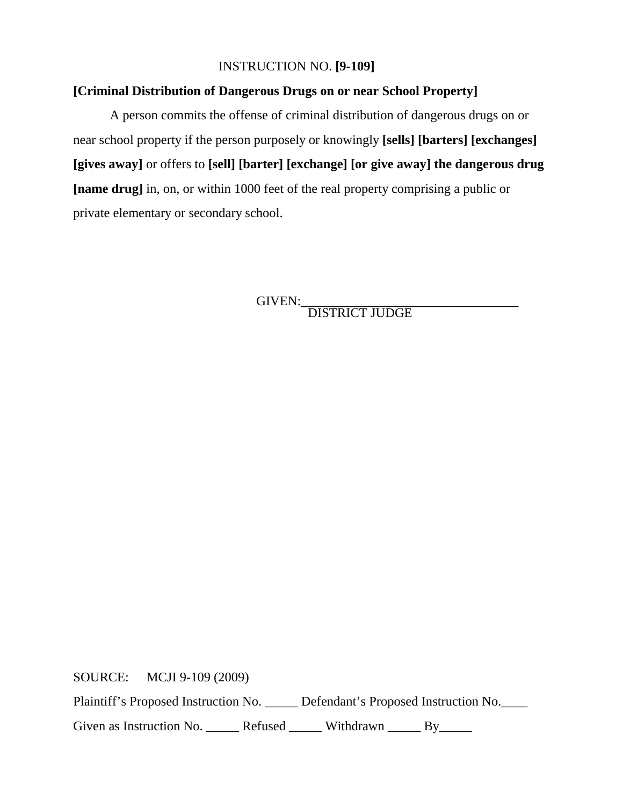### INSTRUCTION NO. **[9-109]**

### **[Criminal Distribution of Dangerous Drugs on or near School Property]**

A person commits the offense of criminal distribution of dangerous drugs on or near school property if the person purposely or knowingly **[sells] [barters] [exchanges] [gives away]** or offers to **[sell] [barter] [exchange] [or give away] the dangerous drug [name drug]** in, on, or within 1000 feet of the real property comprising a public or private elementary or secondary school.

GIVEN: DISTRICT JUDGE

SOURCE: MCJI 9-109 (2009)

Plaintiff's Proposed Instruction No. \_\_\_\_\_ Defendant's Proposed Instruction No.\_\_\_\_

Given as Instruction No. \_\_\_\_\_\_ Refused \_\_\_\_\_\_ Withdrawn \_\_\_\_\_ By\_\_\_\_\_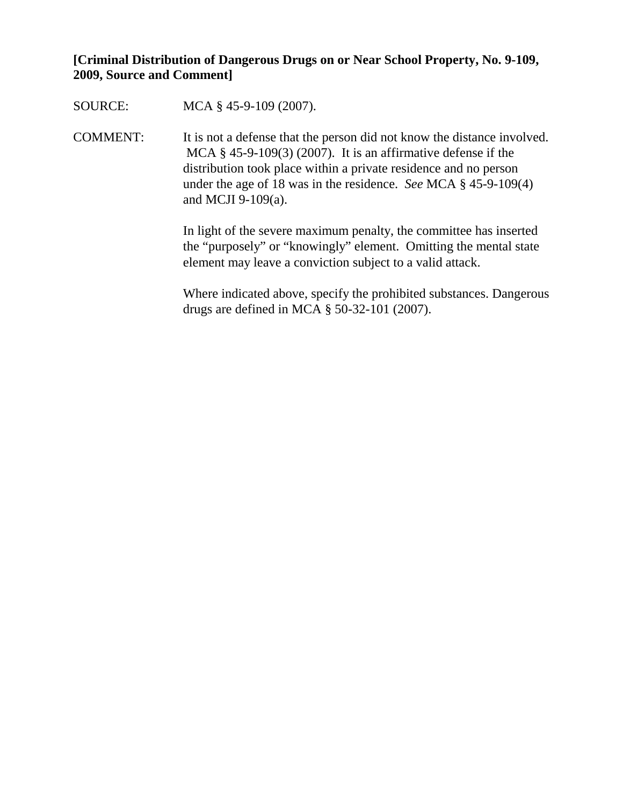## **[Criminal Distribution of Dangerous Drugs on or Near School Property, No. 9-109, 2009, Source and Comment]**

SOURCE: MCA § 45-9-109 (2007).

COMMENT: It is not a defense that the person did not know the distance involved. MCA  $\S$  45-9-109(3) (2007). It is an affirmative defense if the distribution took place within a private residence and no person under the age of 18 was in the residence. *See* MCA § 45-9-109(4) and MCJI 9-109(a).

> In light of the severe maximum penalty, the committee has inserted the "purposely" or "knowingly" element. Omitting the mental state element may leave a conviction subject to a valid attack.

Where indicated above, specify the prohibited substances. Dangerous drugs are defined in MCA § 50-32-101 (2007).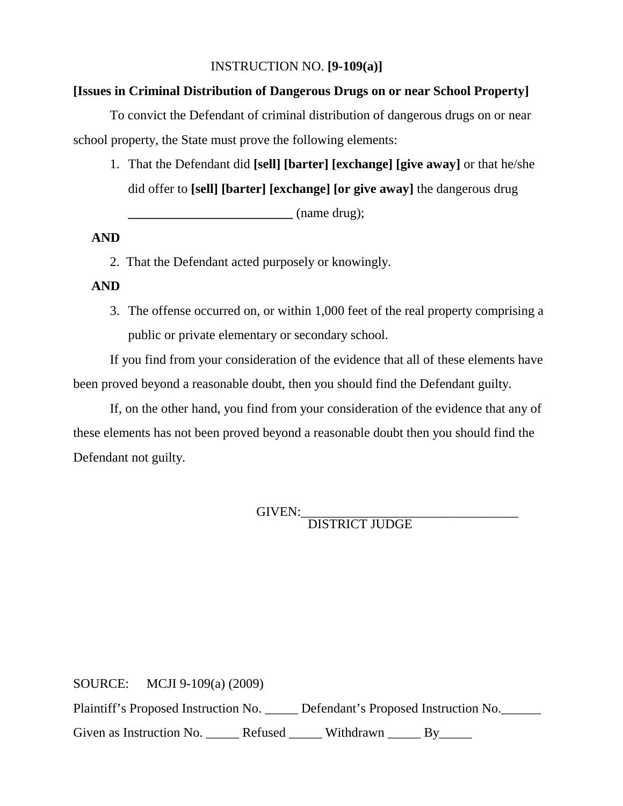### INSTRUCTION NO. **[9-109(a)]**

#### **[Issues in Criminal Distribution of Dangerous Drugs on or near School Property]**

To convict the Defendant of criminal distribution of dangerous drugs on or near school property, the State must prove the following elements:

1. That the Defendant did **[sell] [barter] [exchange] [give away]** or that he/she did offer to **[sell] [barter] [exchange] [or give away]** the dangerous drug

**\_\_\_\_\_\_\_\_\_\_\_\_\_\_\_\_\_\_\_\_\_\_\_\_\_** (name drug);

#### **AND**

2. That the Defendant acted purposely or knowingly.

## **AND**

3. The offense occurred on, or within 1,000 feet of the real property comprising a public or private elementary or secondary school.

If you find from your consideration of the evidence that all of these elements have been proved beyond a reasonable doubt, then you should find the Defendant guilty.

If, on the other hand, you find from your consideration of the evidence that any of these elements has not been proved beyond a reasonable doubt then you should find the Defendant not guilty.

GIVEN:\_\_\_\_\_\_\_\_\_\_\_\_\_\_\_\_\_\_\_\_\_\_\_\_\_\_\_\_\_\_\_\_\_ DISTRICT JUDGE

SOURCE: MCJI 9-109(a) (2009) Plaintiff's Proposed Instruction No. \_\_\_\_\_ Defendant's Proposed Instruction No. \_\_\_\_\_ Given as Instruction No. \_\_\_\_\_\_ Refused \_\_\_\_\_\_ Withdrawn \_\_\_\_\_ By\_\_\_\_\_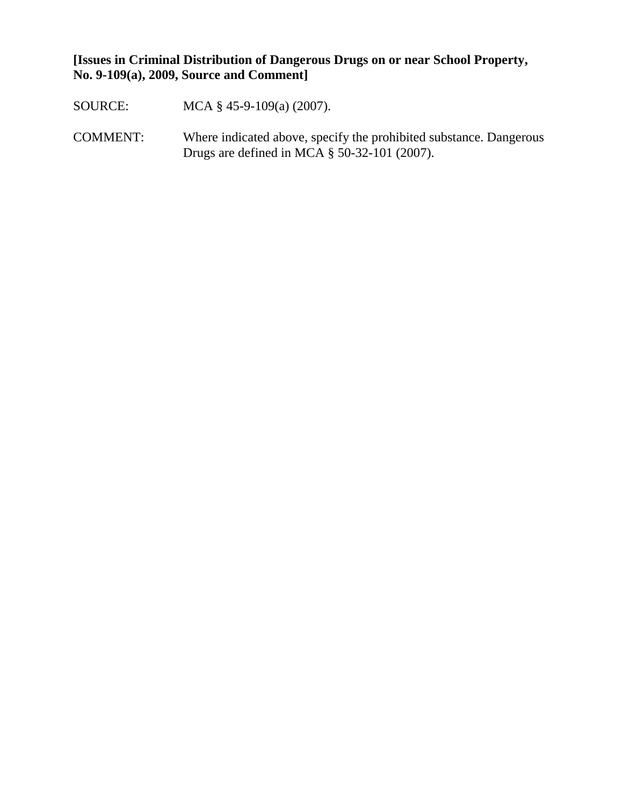## **[Issues in Criminal Distribution of Dangerous Drugs on or near School Property, No. 9-109(a), 2009, Source and Comment]**

- SOURCE: MCA § 45-9-109(a) (2007).
- COMMENT: Where indicated above, specify the prohibited substance. Dangerous Drugs are defined in MCA § 50-32-101 (2007).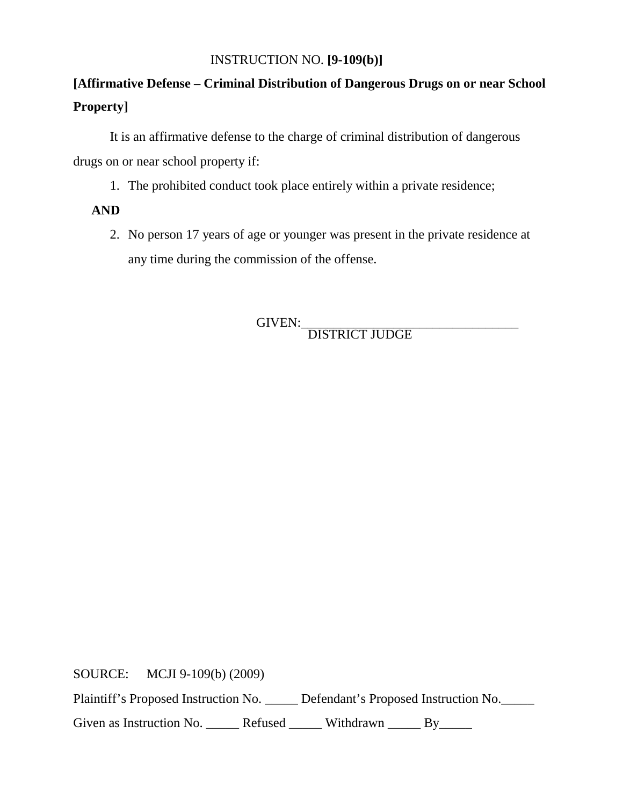## INSTRUCTION NO. **[9-109(b)]**

# **[Affirmative Defense – Criminal Distribution of Dangerous Drugs on or near School Property]**

It is an affirmative defense to the charge of criminal distribution of dangerous drugs on or near school property if:

1. The prohibited conduct took place entirely within a private residence;

## **AND**

2. No person 17 years of age or younger was present in the private residence at any time during the commission of the offense.

GIVEN:\_\_\_\_\_\_\_\_\_\_\_\_\_\_\_\_\_\_\_\_\_\_\_\_\_\_\_\_\_\_\_\_\_ DISTRICT JUDGE

SOURCE: MCJI 9-109(b) (2009)

Plaintiff's Proposed Instruction No. \_\_\_\_\_ Defendant's Proposed Instruction No.\_\_\_\_\_

Given as Instruction No. \_\_\_\_\_\_ Refused \_\_\_\_\_\_ Withdrawn \_\_\_\_\_ By\_\_\_\_\_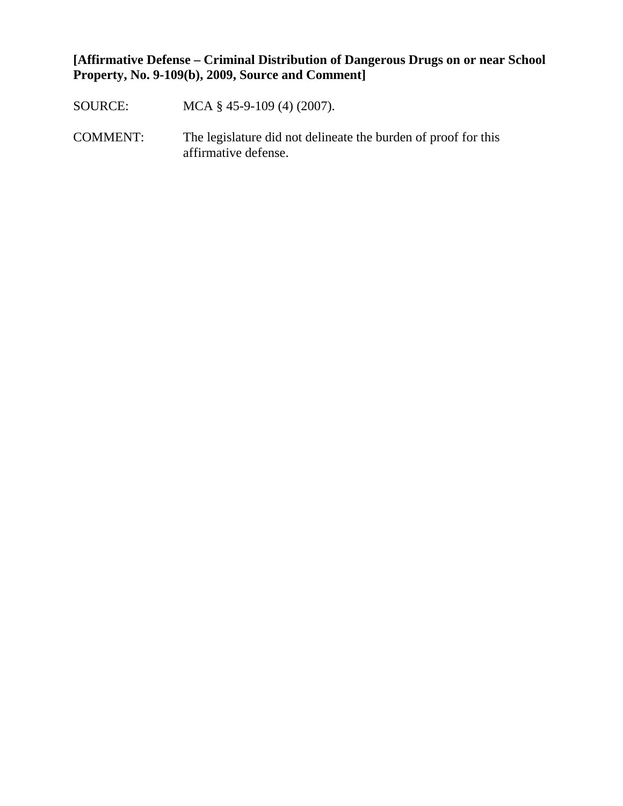## **[Affirmative Defense – Criminal Distribution of Dangerous Drugs on or near School Property, No. 9-109(b), 2009, Source and Comment]**

- SOURCE: MCA § 45-9-109 (4) (2007).
- COMMENT: The legislature did not delineate the burden of proof for this affirmative defense.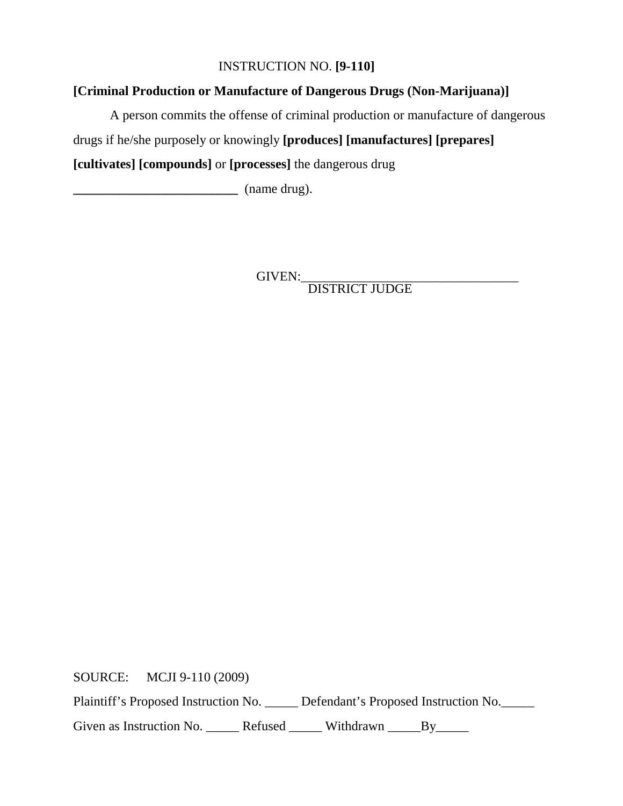## INSTRUCTION NO. **[9-110]**

## **[Criminal Production or Manufacture of Dangerous Drugs (Non-Marijuana)]**

A person commits the offense of criminal production or manufacture of dangerous

drugs if he/she purposely or knowingly **[produces] [manufactures] [prepares]** 

**[cultivates] [compounds]** or **[processes]** the dangerous drug

**\_\_\_\_\_\_\_\_\_\_\_\_\_\_\_\_\_\_\_\_\_\_\_\_\_** (name drug).

GIVEN:\_\_\_\_\_\_\_\_\_\_\_\_\_\_\_\_\_\_\_\_\_\_\_\_\_\_\_\_\_\_\_\_\_ DISTRICT JUDGE

SOURCE: MCJI 9-110 (2009)

Plaintiff's Proposed Instruction No. \_\_\_\_\_ Defendant's Proposed Instruction No.\_\_\_\_\_

Given as Instruction No. \_\_\_\_\_\_ Refused \_\_\_\_\_\_ Withdrawn \_\_\_\_\_By\_\_\_\_\_\_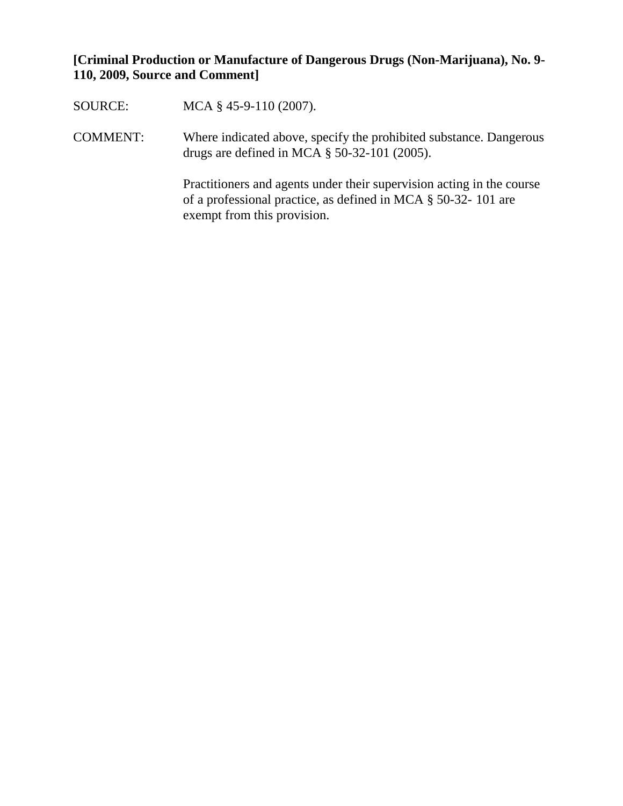## **[Criminal Production or Manufacture of Dangerous Drugs (Non-Marijuana), No. 9- 110, 2009, Source and Comment]**

| SOURCE:         | MCA $\S$ 45-9-110 (2007).                                                                                                                                                |
|-----------------|--------------------------------------------------------------------------------------------------------------------------------------------------------------------------|
| <b>COMMENT:</b> | Where indicated above, specify the prohibited substance. Dangerous<br>drugs are defined in MCA $\S$ 50-32-101 (2005).                                                    |
|                 | Practitioners and agents under their supervision acting in the course<br>of a professional practice, as defined in MCA $\S$ 50-32-101 are<br>exempt from this provision. |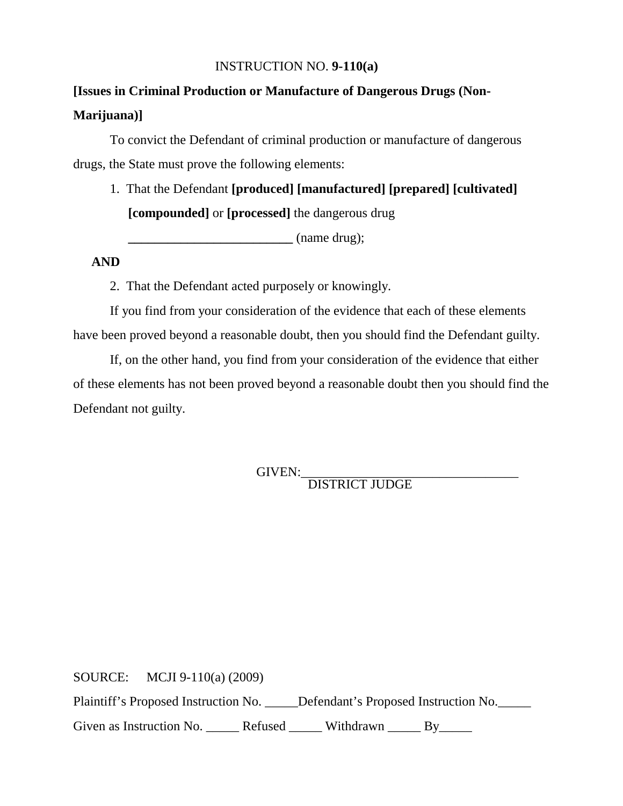#### INSTRUCTION NO. **9-110(a)**

# **[Issues in Criminal Production or Manufacture of Dangerous Drugs (Non-Marijuana)]**

To convict the Defendant of criminal production or manufacture of dangerous drugs, the State must prove the following elements:

1. That the Defendant **[produced] [manufactured] [prepared] [cultivated] [compounded]** or **[processed]** the dangerous drug

**\_\_\_\_\_\_\_\_\_\_\_\_\_\_\_\_\_\_\_\_\_\_\_\_\_** (name drug);

#### **AND**

2. That the Defendant acted purposely or knowingly.

If you find from your consideration of the evidence that each of these elements have been proved beyond a reasonable doubt, then you should find the Defendant guilty.

If, on the other hand, you find from your consideration of the evidence that either of these elements has not been proved beyond a reasonable doubt then you should find the Defendant not guilty.

GIVEN: DISTRICT JUDGE

SOURCE: MCJI 9-110(a) (2009) Plaintiff's Proposed Instruction No. \_\_\_\_\_Defendant's Proposed Instruction No. Given as Instruction No. \_\_\_\_\_\_ Refused \_\_\_\_\_\_ Withdrawn \_\_\_\_\_ By\_\_\_\_\_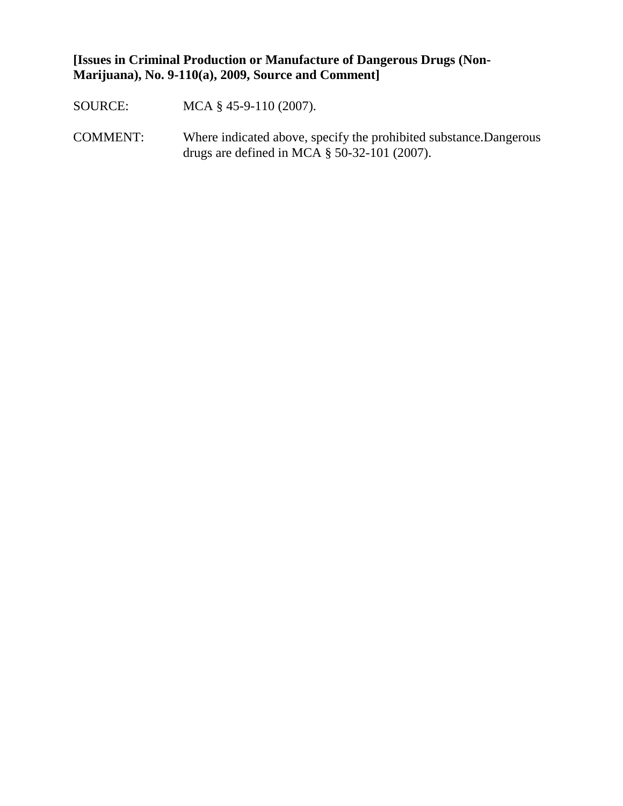## **[Issues in Criminal Production or Manufacture of Dangerous Drugs (Non-Marijuana), No. 9-110(a), 2009, Source and Comment]**

- SOURCE: MCA § 45-9-110 (2007).
- COMMENT: Where indicated above, specify the prohibited substance.Dangerous drugs are defined in MCA § 50-32-101 (2007).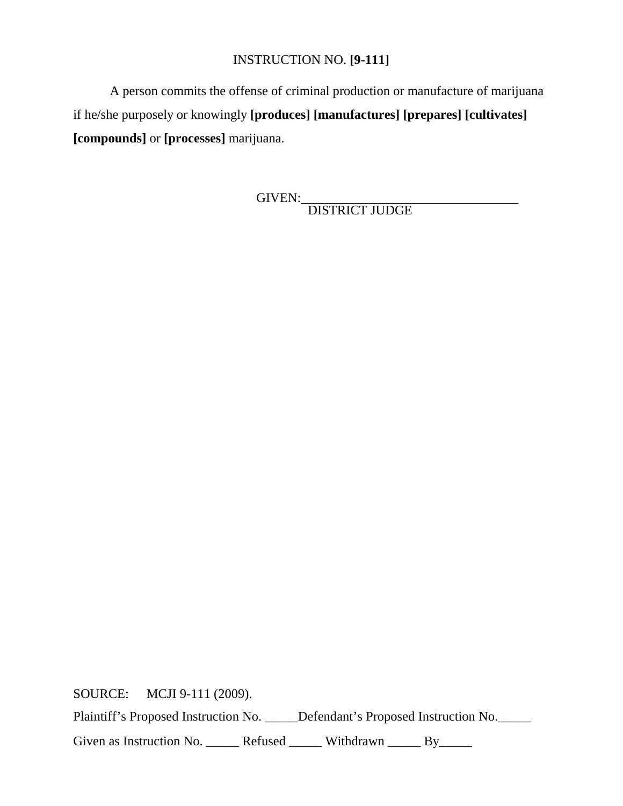## INSTRUCTION NO. **[9-111]**

A person commits the offense of criminal production or manufacture of marijuana if he/she purposely or knowingly **[produces] [manufactures] [prepares] [cultivates] [compounds]** or **[processes]** marijuana.

GIVEN:\_\_\_\_\_\_\_\_\_\_\_\_\_\_\_\_\_\_\_\_\_\_\_\_\_\_\_\_\_\_\_\_\_ DISTRICT JUDGE

SOURCE: MCJI 9-111 (2009). Plaintiff's Proposed Instruction No. \_\_\_\_\_Defendant's Proposed Instruction No. \_\_\_\_\_ Given as Instruction No. \_\_\_\_\_\_ Refused \_\_\_\_\_\_ Withdrawn \_\_\_\_\_ By\_\_\_\_\_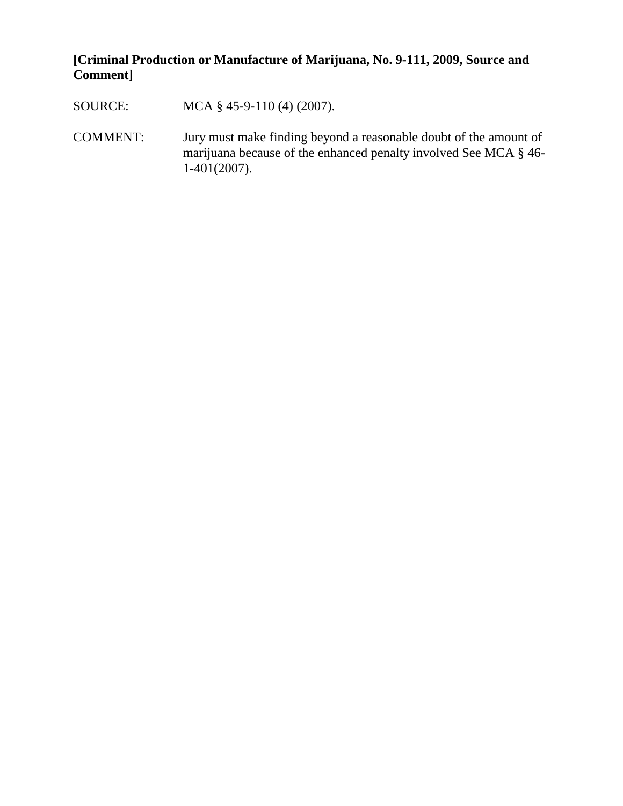# **[Criminal Production or Manufacture of Marijuana, No. 9-111, 2009, Source and Comment]**

| SOURCE:  | MCA $\S$ 45-9-110 (4) (2007).                                                                                                                            |
|----------|----------------------------------------------------------------------------------------------------------------------------------------------------------|
| COMMENT: | Jury must make finding beyond a reasonable doubt of the amount of<br>marijuana because of the enhanced penalty involved See MCA § 46-<br>$1-401(2007)$ . |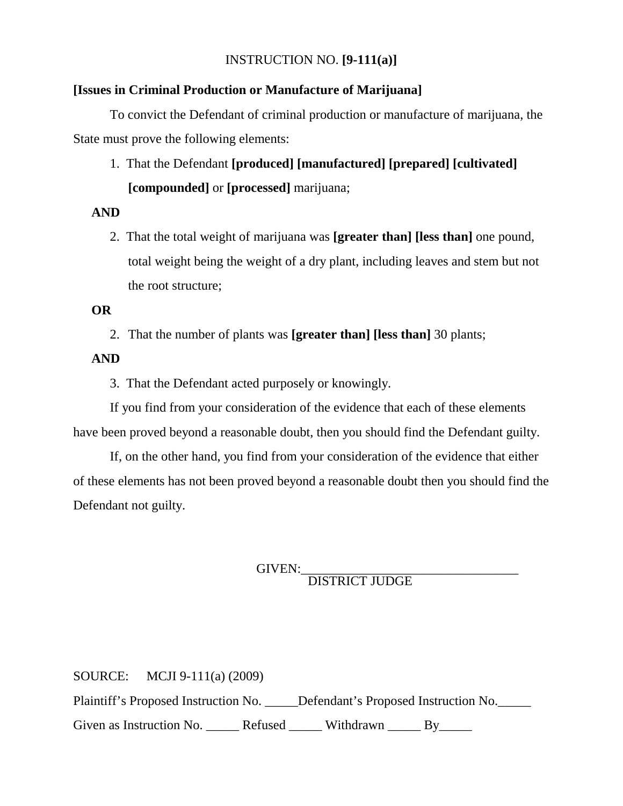## INSTRUCTION NO. **[9-111(a)]**

#### **[Issues in Criminal Production or Manufacture of Marijuana]**

To convict the Defendant of criminal production or manufacture of marijuana, the State must prove the following elements:

1. That the Defendant **[produced] [manufactured] [prepared] [cultivated] [compounded]** or **[processed]** marijuana;

#### **AND**

2. That the total weight of marijuana was **[greater than] [less than]** one pound, total weight being the weight of a dry plant, including leaves and stem but not the root structure;

#### **OR**

2. That the number of plants was **[greater than] [less than]** 30 plants;

#### **AND**

3. That the Defendant acted purposely or knowingly.

If you find from your consideration of the evidence that each of these elements have been proved beyond a reasonable doubt, then you should find the Defendant guilty.

If, on the other hand, you find from your consideration of the evidence that either of these elements has not been proved beyond a reasonable doubt then you should find the Defendant not guilty.

GIVEN:<br>DISTRICT JUDGE

SOURCE: MCJI 9-111(a) (2009) Plaintiff's Proposed Instruction No. \_\_\_\_\_Defendant's Proposed Instruction No. Given as Instruction No. \_\_\_\_\_\_ Refused \_\_\_\_\_\_ Withdrawn \_\_\_\_\_ By\_\_\_\_\_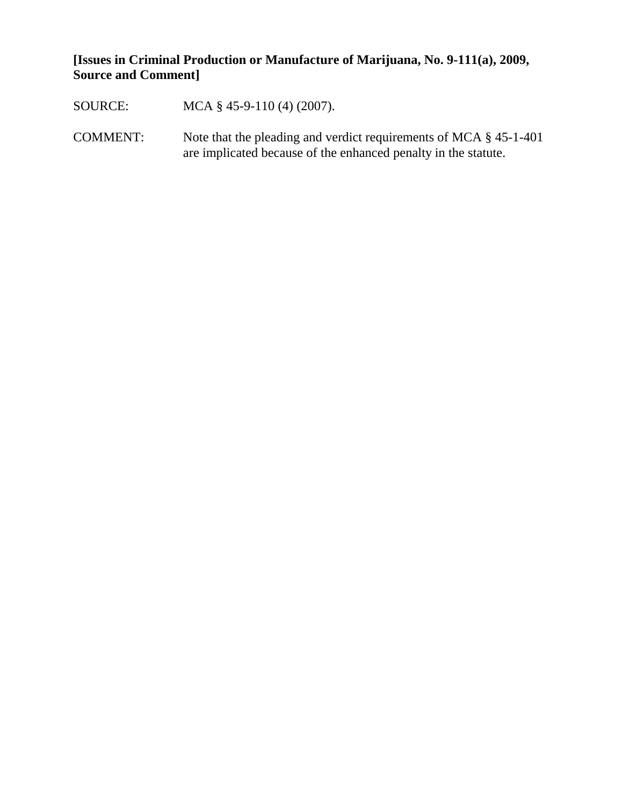# **[Issues in Criminal Production or Manufacture of Marijuana, No. 9-111(a), 2009, Source and Comment]**

| SOURCE:         | MCA $\S$ 45-9-110 (4) (2007).                                                                                                          |
|-----------------|----------------------------------------------------------------------------------------------------------------------------------------|
| <b>COMMENT:</b> | Note that the pleading and verdict requirements of MCA $\S$ 45-1-401<br>are implicated because of the enhanced penalty in the statute. |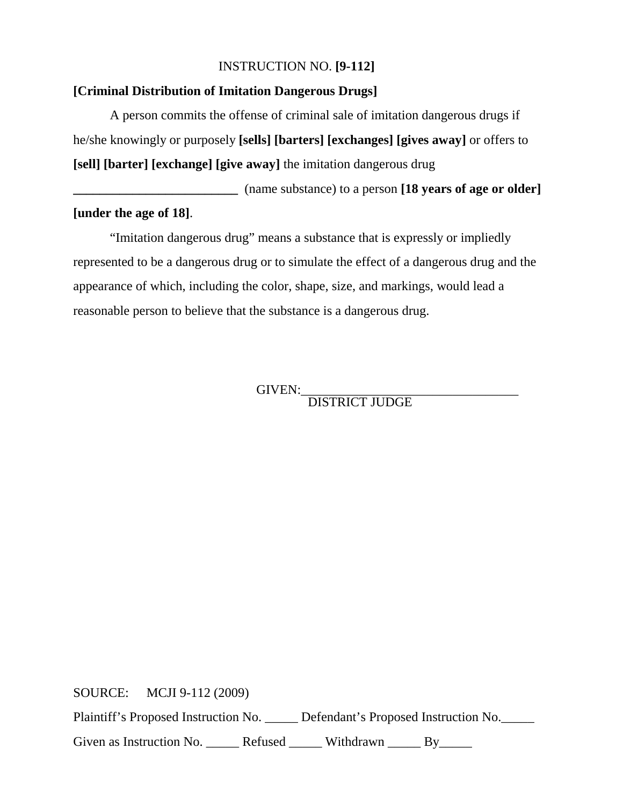## INSTRUCTION NO. **[9-112]**

#### **[Criminal Distribution of Imitation Dangerous Drugs]**

A person commits the offense of criminal sale of imitation dangerous drugs if he/she knowingly or purposely **[sells] [barters] [exchanges] [gives away]** or offers to **[sell] [barter] [exchange] [give away]** the imitation dangerous drug

**\_\_\_\_\_\_\_\_\_\_\_\_\_\_\_\_\_\_\_\_\_\_\_\_\_** (name substance) to a person **[18 years of age or older] [under the age of 18]**.

"Imitation dangerous drug" means a substance that is expressly or impliedly represented to be a dangerous drug or to simulate the effect of a dangerous drug and the appearance of which, including the color, shape, size, and markings, would lead a reasonable person to believe that the substance is a dangerous drug.

GIVEN:\_\_\_\_\_\_\_\_\_\_\_\_\_\_\_\_\_\_\_\_\_\_\_\_\_\_\_\_\_\_\_\_\_ DISTRICT JUDGE

SOURCE: MCJI 9-112 (2009) Plaintiff's Proposed Instruction No. \_\_\_\_\_ Defendant's Proposed Instruction No.\_\_\_\_\_ Given as Instruction No. \_\_\_\_\_\_ Refused \_\_\_\_\_\_ Withdrawn \_\_\_\_\_ By\_\_\_\_\_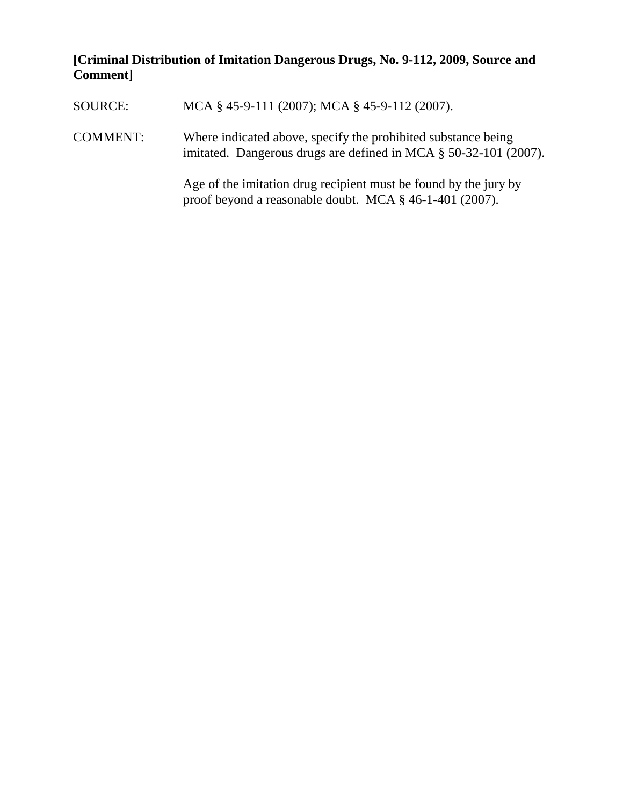# **[Criminal Distribution of Imitation Dangerous Drugs, No. 9-112, 2009, Source and Comment]**

| SOURCE:         | MCA § 45-9-111 (2007); MCA § 45-9-112 (2007).                                                                                     |
|-----------------|-----------------------------------------------------------------------------------------------------------------------------------|
| <b>COMMENT:</b> | Where indicated above, specify the prohibited substance being<br>imitated. Dangerous drugs are defined in MCA § 50-32-101 (2007). |
|                 | Age of the imitation drug recipient must be found by the jury by<br>proof beyond a reasonable doubt. MCA § 46-1-401 (2007).       |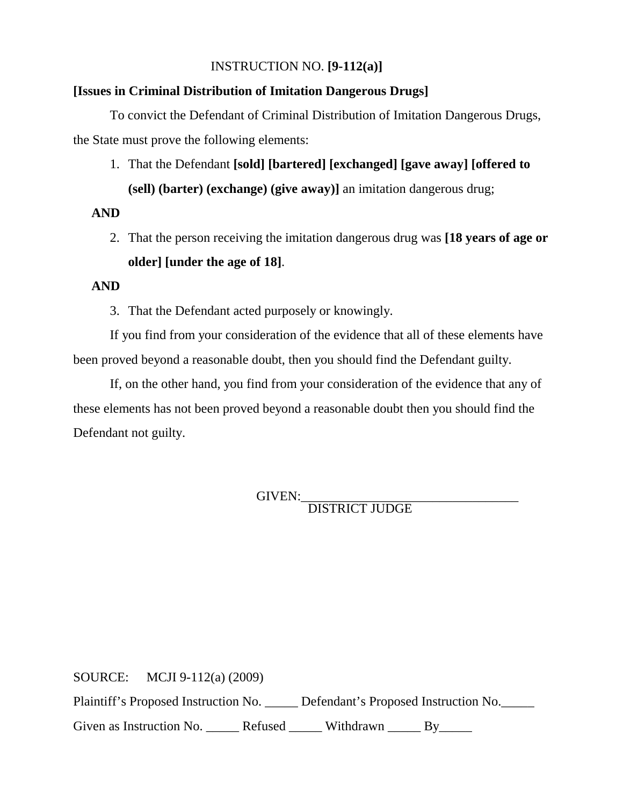## INSTRUCTION NO. **[9-112(a)]**

#### **[Issues in Criminal Distribution of Imitation Dangerous Drugs]**

To convict the Defendant of Criminal Distribution of Imitation Dangerous Drugs, the State must prove the following elements:

1. That the Defendant **[sold] [bartered] [exchanged] [gave away] [offered to (sell) (barter) (exchange) (give away)]** an imitation dangerous drug;

#### **AND**

2. That the person receiving the imitation dangerous drug was **[18 years of age or older] [under the age of 18]**.

#### **AND**

3. That the Defendant acted purposely or knowingly.

If you find from your consideration of the evidence that all of these elements have been proved beyond a reasonable doubt, then you should find the Defendant guilty.

If, on the other hand, you find from your consideration of the evidence that any of these elements has not been proved beyond a reasonable doubt then you should find the Defendant not guilty.

GIVEN:\_\_\_\_\_\_\_\_\_\_\_\_\_\_\_\_\_\_\_\_\_\_\_\_\_\_\_\_\_\_\_\_\_ DISTRICT JUDGE

SOURCE: MCJI 9-112(a) (2009) Plaintiff's Proposed Instruction No. \_\_\_\_\_ Defendant's Proposed Instruction No.\_\_\_\_\_ Given as Instruction No. \_\_\_\_\_\_ Refused \_\_\_\_\_\_ Withdrawn \_\_\_\_\_ By\_\_\_\_\_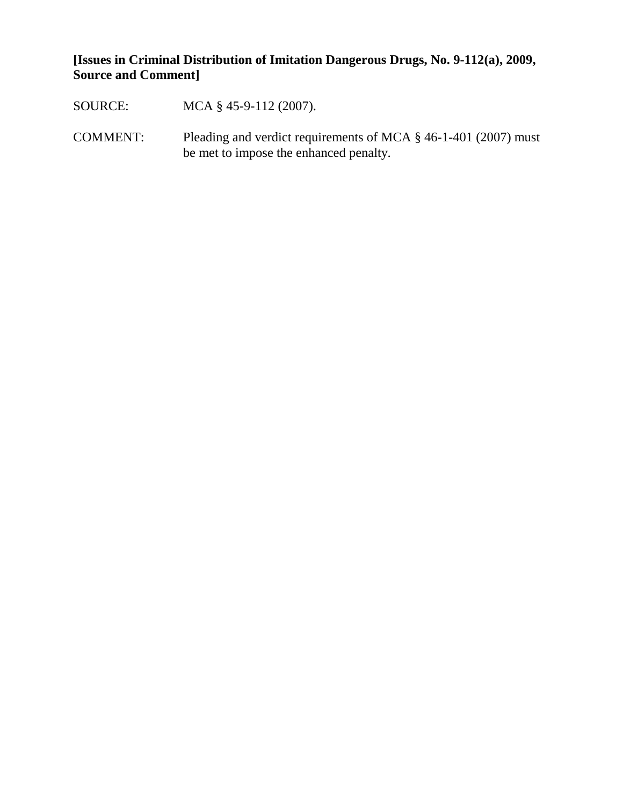**[Issues in Criminal Distribution of Imitation Dangerous Drugs, No. 9-112(a), 2009, Source and Comment]**

- SOURCE: MCA § 45-9-112 (2007).
- COMMENT: Pleading and verdict requirements of MCA § 46-1-401 (2007) must be met to impose the enhanced penalty.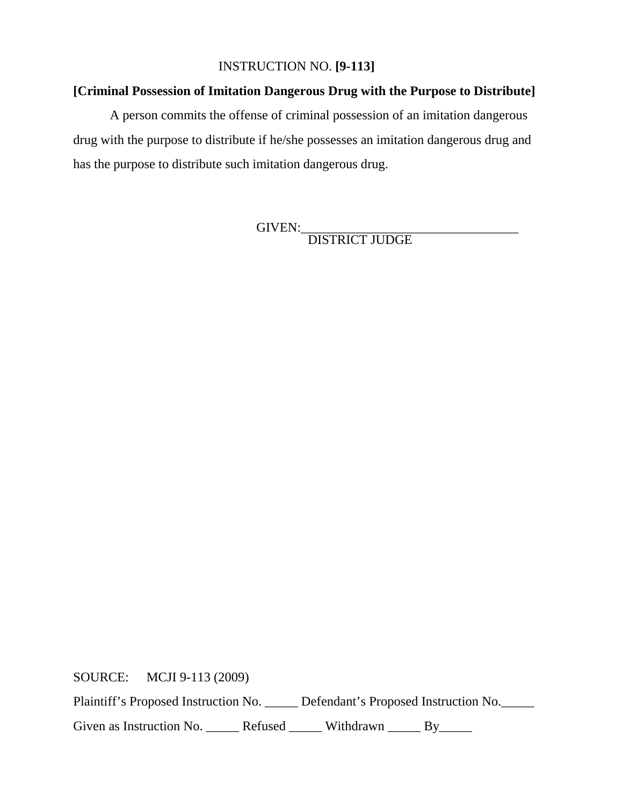## INSTRUCTION NO. **[9-113]**

## **[Criminal Possession of Imitation Dangerous Drug with the Purpose to Distribute]**

A person commits the offense of criminal possession of an imitation dangerous drug with the purpose to distribute if he/she possesses an imitation dangerous drug and has the purpose to distribute such imitation dangerous drug.

GIVEN:\_\_\_\_\_\_\_\_\_\_\_\_\_\_\_\_\_\_\_\_\_\_\_\_\_\_\_\_\_\_\_\_\_

DISTRICT JUDGE

SOURCE: MCJI 9-113 (2009)

Plaintiff's Proposed Instruction No. \_\_\_\_\_ Defendant's Proposed Instruction No.\_\_\_\_\_

Given as Instruction No. \_\_\_\_\_\_ Refused \_\_\_\_\_\_ Withdrawn \_\_\_\_\_ By\_\_\_\_\_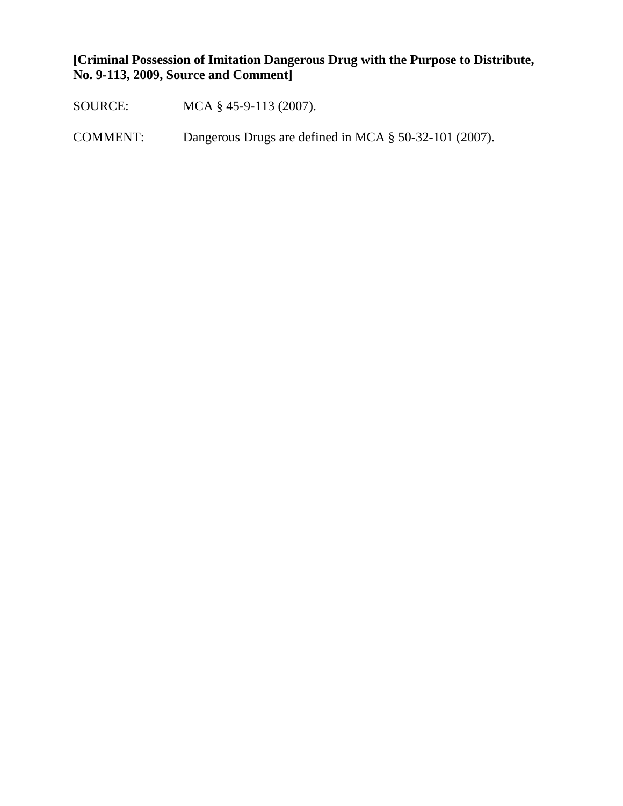**[Criminal Possession of Imitation Dangerous Drug with the Purpose to Distribute, No. 9-113, 2009, Source and Comment]**

SOURCE: MCA § 45-9-113 (2007).

COMMENT: Dangerous Drugs are defined in MCA § 50-32-101 (2007).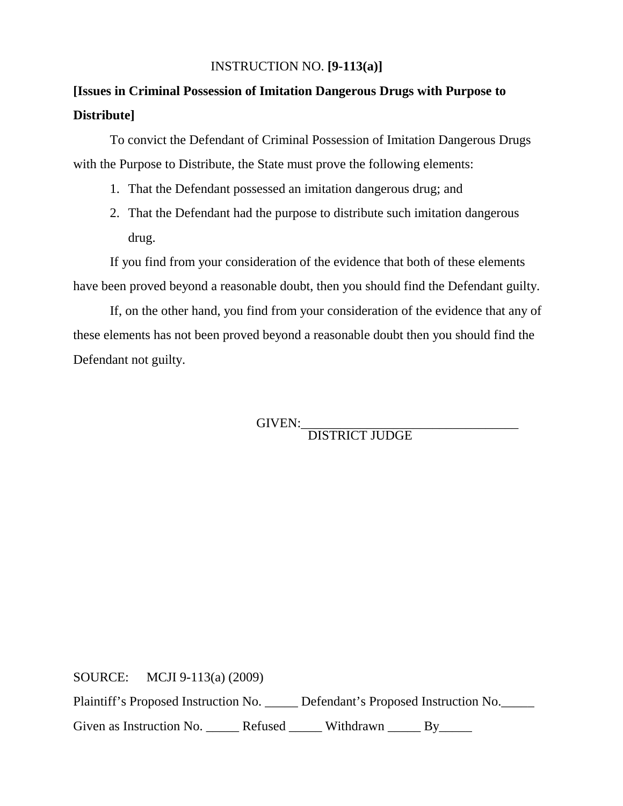## INSTRUCTION NO. **[9-113(a)]**

# **[Issues in Criminal Possession of Imitation Dangerous Drugs with Purpose to Distribute]**

To convict the Defendant of Criminal Possession of Imitation Dangerous Drugs with the Purpose to Distribute, the State must prove the following elements:

- 1. That the Defendant possessed an imitation dangerous drug; and
- 2. That the Defendant had the purpose to distribute such imitation dangerous drug.

If you find from your consideration of the evidence that both of these elements have been proved beyond a reasonable doubt, then you should find the Defendant guilty.

If, on the other hand, you find from your consideration of the evidence that any of these elements has not been proved beyond a reasonable doubt then you should find the Defendant not guilty.

GIVEN:\_\_\_\_\_\_\_\_\_\_\_\_\_\_\_\_\_\_\_\_\_\_\_\_\_\_\_\_\_\_\_\_\_ DISTRICT JUDGE

SOURCE: MCJI 9-113(a) (2009)

Plaintiff's Proposed Instruction No. \_\_\_\_\_ Defendant's Proposed Instruction No.\_\_\_\_\_

Given as Instruction No. \_\_\_\_\_\_ Refused \_\_\_\_\_\_ Withdrawn \_\_\_\_\_ By\_\_\_\_\_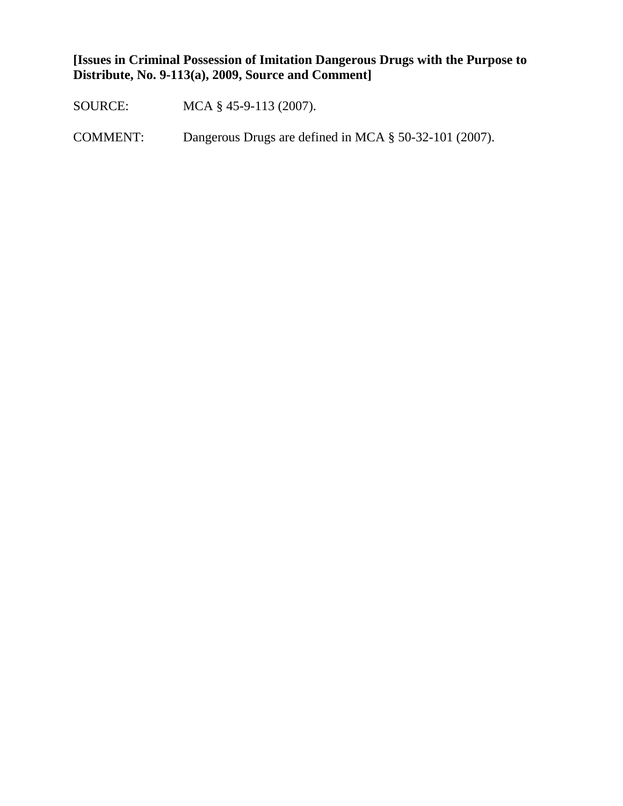**[Issues in Criminal Possession of Imitation Dangerous Drugs with the Purpose to Distribute, No. 9-113(a), 2009, Source and Comment]**

SOURCE: MCA § 45-9-113 (2007).

COMMENT: Dangerous Drugs are defined in MCA § 50-32-101 (2007).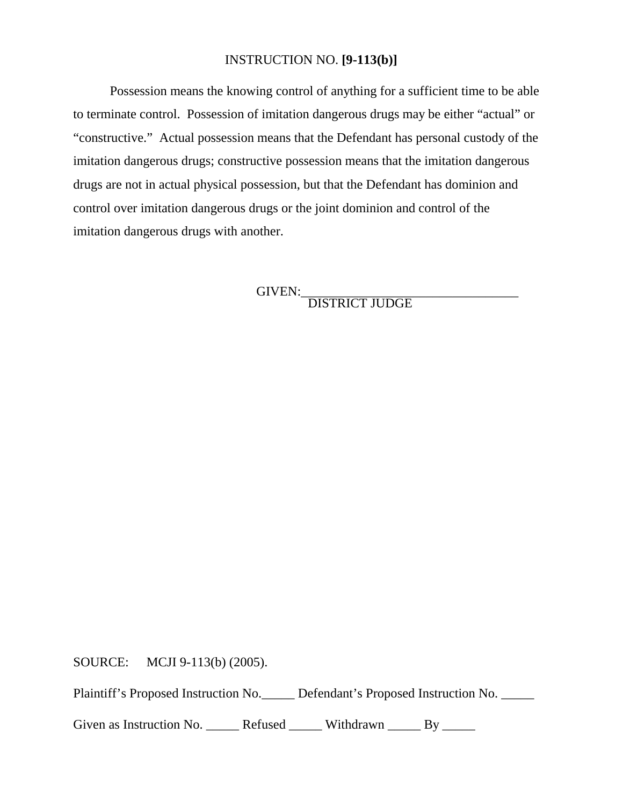#### INSTRUCTION NO. **[9-113(b)]**

Possession means the knowing control of anything for a sufficient time to be able to terminate control. Possession of imitation dangerous drugs may be either "actual" or "constructive." Actual possession means that the Defendant has personal custody of the imitation dangerous drugs; constructive possession means that the imitation dangerous drugs are not in actual physical possession, but that the Defendant has dominion and control over imitation dangerous drugs or the joint dominion and control of the imitation dangerous drugs with another.

GIVEN:<br>DISTRICT JUDGE

SOURCE: MCJI 9-113(b) (2005).

Plaintiff's Proposed Instruction No. Defendant's Proposed Instruction No.

Given as Instruction No. \_\_\_\_\_\_ Refused \_\_\_\_\_\_ Withdrawn \_\_\_\_\_ By \_\_\_\_\_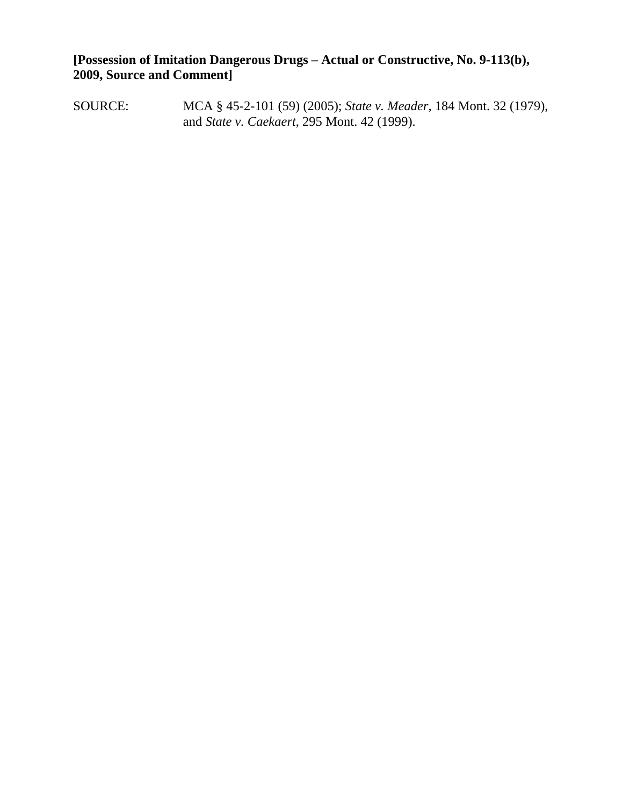**[Possession of Imitation Dangerous Drugs – Actual or Constructive, No. 9-113(b), 2009, Source and Comment]**

SOURCE: MCA § 45-2-101 (59) (2005); *State v. Meader*, 184 Mont. 32 (1979), and *State v. Caekaert*, 295 Mont. 42 (1999).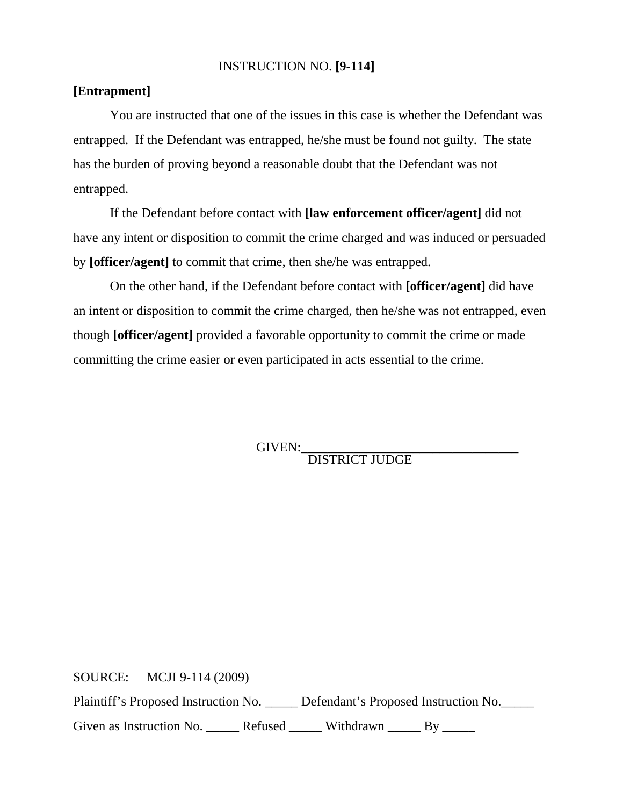### INSTRUCTION NO. **[9-114]**

## **[Entrapment]**

You are instructed that one of the issues in this case is whether the Defendant was entrapped. If the Defendant was entrapped, he/she must be found not guilty. The state has the burden of proving beyond a reasonable doubt that the Defendant was not entrapped.

If the Defendant before contact with **[law enforcement officer/agent]** did not have any intent or disposition to commit the crime charged and was induced or persuaded by **[officer/agent]** to commit that crime, then she/he was entrapped.

On the other hand, if the Defendant before contact with **[officer/agent]** did have an intent or disposition to commit the crime charged, then he/she was not entrapped, even though **[officer/agent]** provided a favorable opportunity to commit the crime or made committing the crime easier or even participated in acts essential to the crime.

GIVEN:\_\_\_\_\_\_\_\_\_\_\_\_\_\_\_\_\_\_\_\_\_\_\_\_\_\_\_\_\_\_\_\_\_ DISTRICT JUDGE

SOURCE: MCJI 9-114 (2009)

Plaintiff's Proposed Instruction No. \_\_\_\_\_ Defendant's Proposed Instruction No.\_\_\_\_\_

Given as Instruction No. \_\_\_\_\_\_ Refused \_\_\_\_\_\_ Withdrawn \_\_\_\_\_ By \_\_\_\_\_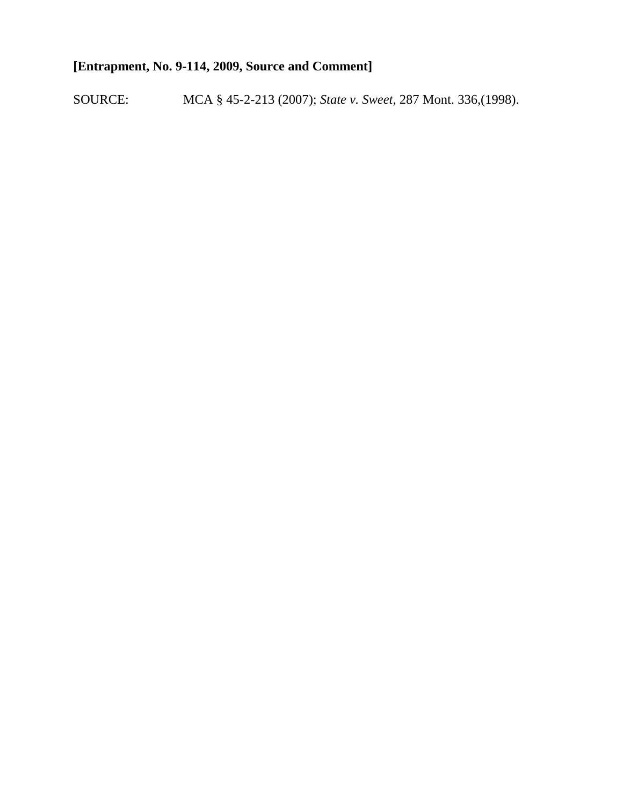# **[Entrapment, No. 9-114, 2009, Source and Comment]**

SOURCE: MCA § 45-2-213 (2007); *State v. Sweet*, 287 Mont. 336,(1998).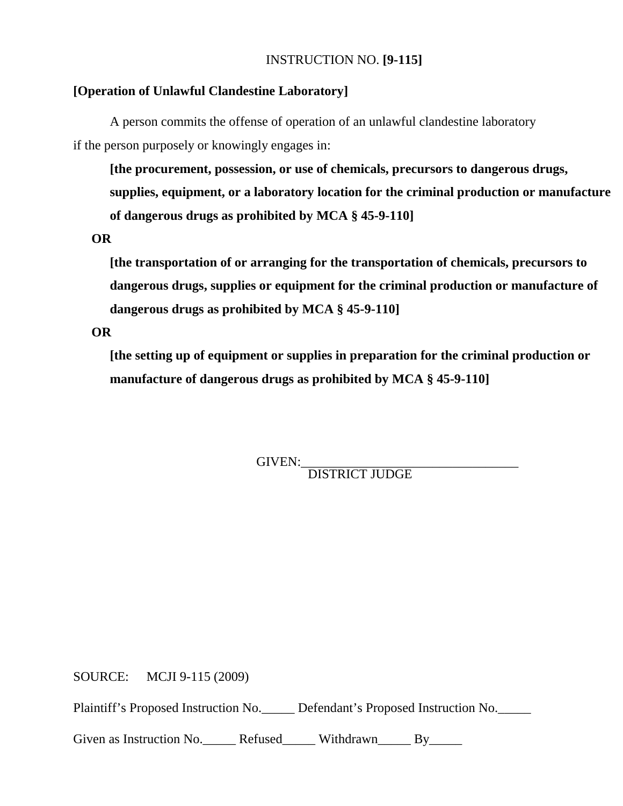## INSTRUCTION NO. **[9-115]**

#### **[Operation of Unlawful Clandestine Laboratory]**

A person commits the offense of operation of an unlawful clandestine laboratory if the person purposely or knowingly engages in:

**[the procurement, possession, or use of chemicals, precursors to dangerous drugs, supplies, equipment, or a laboratory location for the criminal production or manufacture of dangerous drugs as prohibited by MCA § 45-9-110]**

**OR**

**[the transportation of or arranging for the transportation of chemicals, precursors to dangerous drugs, supplies or equipment for the criminal production or manufacture of dangerous drugs as prohibited by MCA § 45-9-110]**

**OR**

**[the setting up of equipment or supplies in preparation for the criminal production or manufacture of dangerous drugs as prohibited by MCA § 45-9-110]**

GIVEN:<br>DISTRICT JUDGE

SOURCE: MCJI 9-115 (2009)

Plaintiff's Proposed Instruction No. Defendant's Proposed Instruction No.

Given as Instruction No. <br>Refused Withdrawn By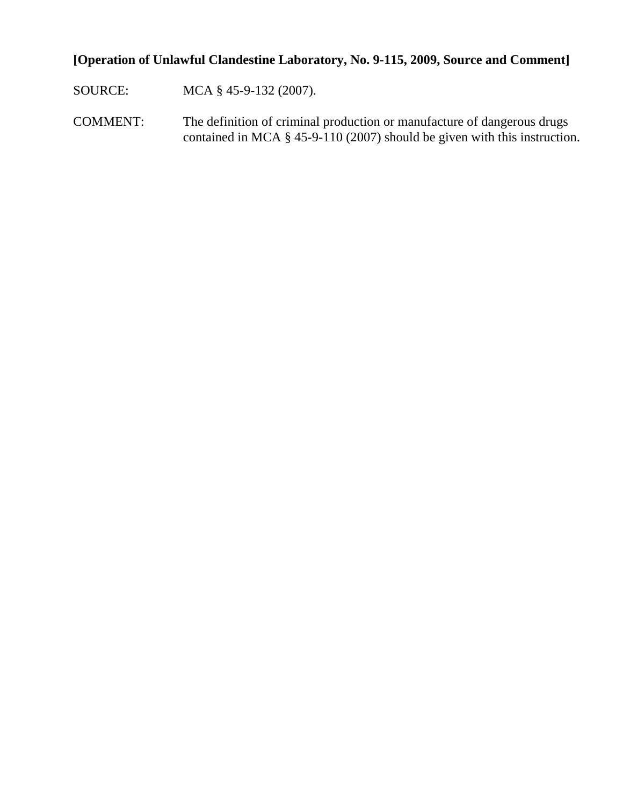# **[Operation of Unlawful Clandestine Laboratory, No. 9-115, 2009, Source and Comment]**

SOURCE: MCA § 45-9-132 (2007).

COMMENT: The definition of criminal production or manufacture of dangerous drugs contained in MCA § 45-9-110 (2007) should be given with this instruction.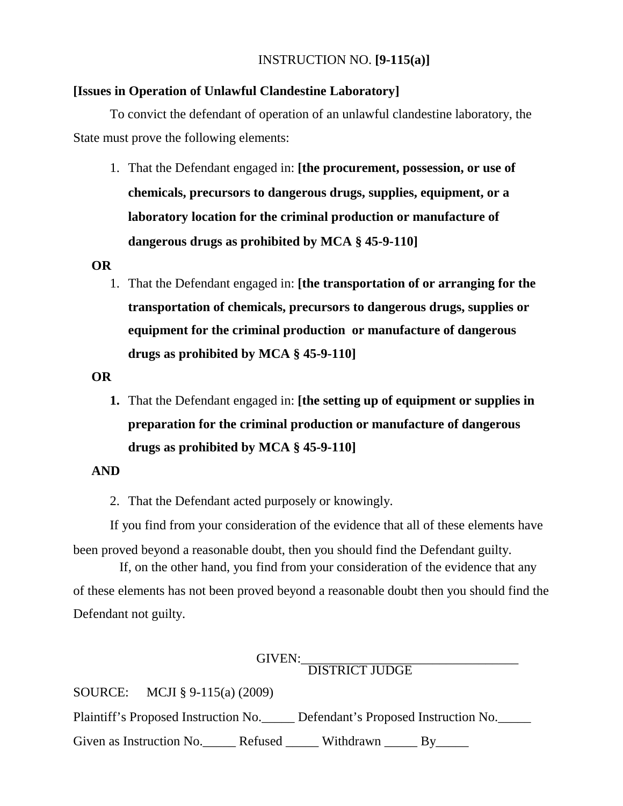## INSTRUCTION NO. **[9-115(a)]**

#### **[Issues in Operation of Unlawful Clandestine Laboratory]**

To convict the defendant of operation of an unlawful clandestine laboratory, the State must prove the following elements:

1. That the Defendant engaged in: **[the procurement, possession, or use of chemicals, precursors to dangerous drugs, supplies, equipment, or a laboratory location for the criminal production or manufacture of dangerous drugs as prohibited by MCA § 45-9-110]**

#### **OR**

1. That the Defendant engaged in: **[the transportation of or arranging for the transportation of chemicals, precursors to dangerous drugs, supplies or equipment for the criminal production or manufacture of dangerous drugs as prohibited by MCA § 45-9-110]**

#### **OR**

**1.** That the Defendant engaged in: **[the setting up of equipment or supplies in preparation for the criminal production or manufacture of dangerous drugs as prohibited by MCA § 45-9-110]**

#### **AND**

2. That the Defendant acted purposely or knowingly.

If you find from your consideration of the evidence that all of these elements have been proved beyond a reasonable doubt, then you should find the Defendant guilty.

 If, on the other hand, you find from your consideration of the evidence that any of these elements has not been proved beyond a reasonable doubt then you should find the Defendant not guilty.

GIVEN:\_\_\_\_\_\_\_\_\_\_\_\_\_\_\_\_\_\_\_\_\_\_\_\_\_\_\_\_\_\_\_\_\_ DISTRICT JUDGE

SOURCE: MCJI § 9-115(a) (2009)

Plaintiff's Proposed Instruction No. Defendant's Proposed Instruction No.

Given as Instruction No. Refused \_\_\_\_\_ Withdrawn \_\_\_\_\_ By\_\_\_\_\_